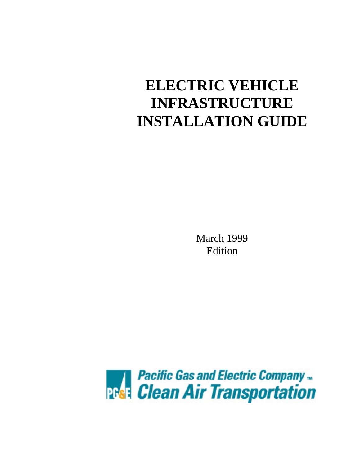# **ELECTRIC VEHICLE INFRASTRUCTURE INSTALLATION GUIDE**

March 1999 Edition

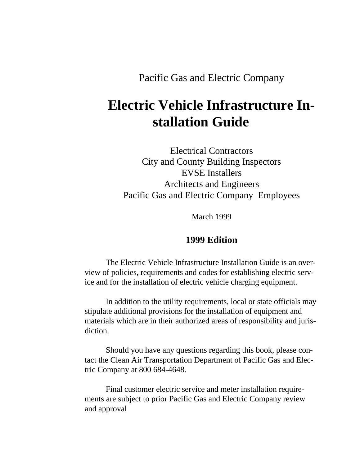Pacific Gas and Electric Company

# **Electric Vehicle Infrastructure Installation Guide**

Electrical Contractors City and County Building Inspectors EVSE Installers Architects and Engineers Pacific Gas and Electric Company Employees

March 1999

# **1999 Edition**

The Electric Vehicle Infrastructure Installation Guide is an overview of policies, requirements and codes for establishing electric service and for the installation of electric vehicle charging equipment.

In addition to the utility requirements, local or state officials may stipulate additional provisions for the installation of equipment and materials which are in their authorized areas of responsibility and jurisdiction.

Should you have any questions regarding this book, please contact the Clean Air Transportation Department of Pacific Gas and Electric Company at 800 684-4648.

Final customer electric service and meter installation requirements are subject to prior Pacific Gas and Electric Company review and approval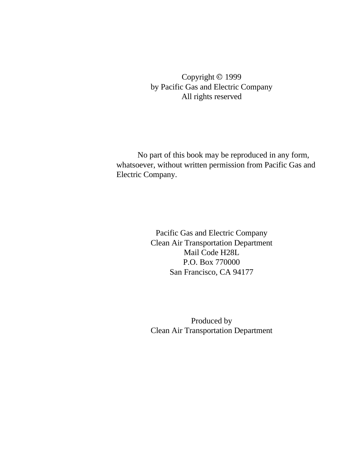Copyright © 1999 by Pacific Gas and Electric Company All rights reserved

No part of this book may be reproduced in any form, whatsoever, without written permission from Pacific Gas and Electric Company.

> Pacific Gas and Electric Company Clean Air Transportation Department Mail Code H28L P.O. Box 770000 San Francisco, CA 94177

> Produced by Clean Air Transportation Department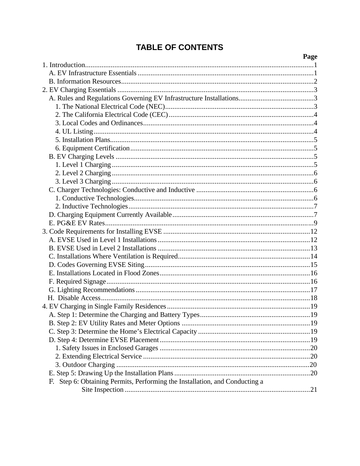# **TABLE OF CONTENTS**

|                                                                                | rage |
|--------------------------------------------------------------------------------|------|
|                                                                                |      |
|                                                                                |      |
|                                                                                |      |
|                                                                                |      |
|                                                                                |      |
|                                                                                |      |
|                                                                                |      |
|                                                                                |      |
|                                                                                |      |
|                                                                                |      |
|                                                                                |      |
|                                                                                |      |
|                                                                                |      |
|                                                                                |      |
|                                                                                |      |
|                                                                                |      |
|                                                                                |      |
|                                                                                |      |
|                                                                                |      |
|                                                                                |      |
|                                                                                |      |
|                                                                                |      |
|                                                                                |      |
|                                                                                |      |
|                                                                                |      |
|                                                                                |      |
|                                                                                |      |
|                                                                                |      |
|                                                                                |      |
|                                                                                |      |
|                                                                                |      |
|                                                                                |      |
|                                                                                |      |
|                                                                                |      |
|                                                                                |      |
|                                                                                |      |
|                                                                                |      |
|                                                                                |      |
| Step 6: Obtaining Permits, Performing the Installation, and Conducting a<br>F. |      |
|                                                                                |      |

#### $\mathbf{D}_{\alpha\alpha\alpha}$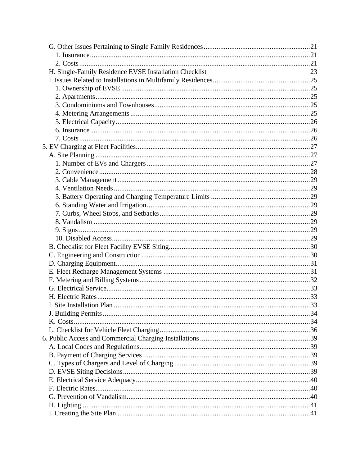| H. Single-Family Residence EVSE Installation Checklist | 23 |
|--------------------------------------------------------|----|
|                                                        |    |
|                                                        |    |
|                                                        |    |
|                                                        |    |
|                                                        |    |
|                                                        |    |
|                                                        |    |
|                                                        |    |
|                                                        |    |
|                                                        |    |
|                                                        |    |
|                                                        |    |
|                                                        |    |
|                                                        |    |
|                                                        |    |
|                                                        |    |
|                                                        |    |
|                                                        |    |
|                                                        |    |
|                                                        |    |
|                                                        |    |
|                                                        |    |
|                                                        |    |
|                                                        |    |
|                                                        |    |
|                                                        |    |
|                                                        |    |
|                                                        |    |
|                                                        |    |
|                                                        |    |
|                                                        |    |
|                                                        |    |
|                                                        |    |
|                                                        |    |
|                                                        |    |
|                                                        |    |
|                                                        |    |
|                                                        |    |
|                                                        |    |
|                                                        |    |
|                                                        |    |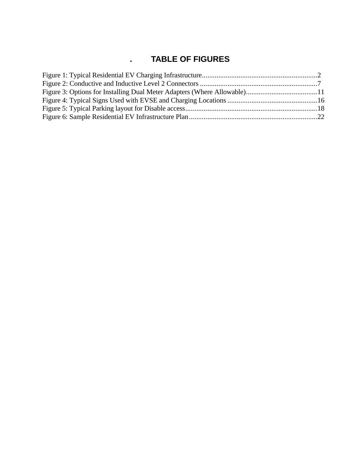# **. TABLE OF FIGURES**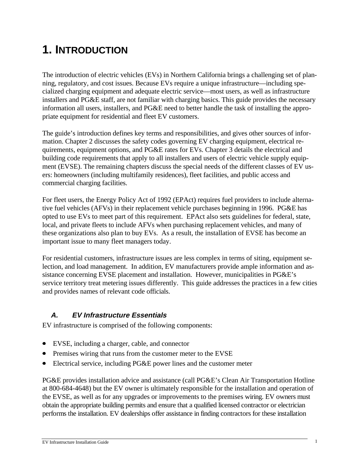# **1. INTRODUCTION**

The introduction of electric vehicles (EVs) in Northern California brings a challenging set of planning, regulatory, and cost issues. Because EVs require a unique infrastructure—including specialized charging equipment and adequate electric service—most users, as well as infrastructure installers and PG&E staff, are not familiar with charging basics. This guide provides the necessary information all users, installers, and PG&E need to better handle the task of installing the appropriate equipment for residential and fleet EV customers.

The guide's introduction defines key terms and responsibilities, and gives other sources of information. Chapter 2 discusses the safety codes governing EV charging equipment, electrical requirements, equipment options, and PG&E rates for EVs. Chapter 3 details the electrical and building code requirements that apply to all installers and users of electric vehicle supply equipment (EVSE). The remaining chapters discuss the special needs of the different classes of EV users: homeowners (including multifamily residences), fleet facilities, and public access and commercial charging facilities.

For fleet users, the Energy Policy Act of 1992 (EPAct) requires fuel providers to include alternative fuel vehicles (AFVs) in their replacement vehicle purchases beginning in 1996. PG&E has opted to use EVs to meet part of this requirement. EPAct also sets guidelines for federal, state, local, and private fleets to include AFVs when purchasing replacement vehicles, and many of these organizations also plan to buy EVs. As a result, the installation of EVSE has become an important issue to many fleet managers today.

For residential customers, infrastructure issues are less complex in terms of siting, equipment selection, and load management. In addition, EV manufacturers provide ample information and assistance concerning EVSE placement and installation. However, municipalities in PG&E's service territory treat metering issues differently. This guide addresses the practices in a few cities and provides names of relevant code officials.

# **A. EV Infrastructure Essentials**

EV infrastructure is comprised of the following components:

- EVSE, including a charger, cable, and connector
- Premises wiring that runs from the customer meter to the EVSE
- x Electrical service, including PG&E power lines and the customer meter

PG&E provides installation advice and assistance (call PG&E's Clean Air Transportation Hotline at 800-684-4648) but the EV owner is ultimately responsible for the installation and operation of the EVSE, as well as for any upgrades or improvements to the premises wiring. EV owners must obtain the appropriate building permits and ensure that a qualified licensed contractor or electrician performs the installation. EV dealerships offer assistance in finding contractors for these installation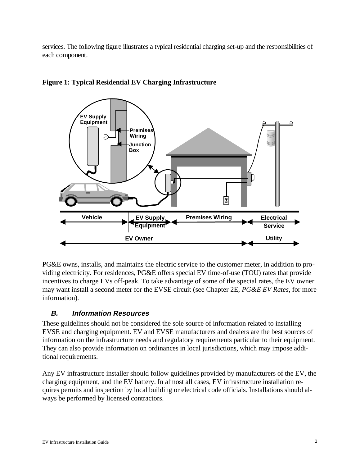services. The following figure illustrates a typical residential charging set-up and the responsibilities of each component.



### **Figure 1: Typical Residential EV Charging Infrastructure**

PG&E owns, installs, and maintains the electric service to the customer meter, in addition to providing electricity. For residences, PG&E offers special EV time-of-use (TOU) rates that provide incentives to charge EVs off-peak. To take advantage of some of the special rates, the EV owner may want install a second meter for the EVSE circuit (see Chapter 2E, *PG&E EV Rates,* for more information).

# **B. Information Resources**

These guidelines should not be considered the sole source of information related to installing EVSE and charging equipment. EV and EVSE manufacturers and dealers are the best sources of information on the infrastructure needs and regulatory requirements particular to their equipment. They can also provide information on ordinances in local jurisdictions, which may impose additional requirements.

Any EV infrastructure installer should follow guidelines provided by manufacturers of the EV, the charging equipment, and the EV battery. In almost all cases, EV infrastructure installation requires permits and inspection by local building or electrical code officials. Installations should always be performed by licensed contractors.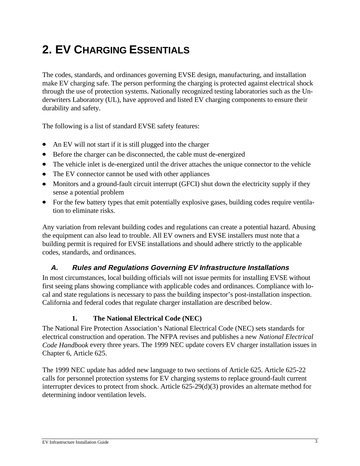# **2. EV CHARGING ESSENTIALS**

The codes, standards, and ordinances governing EVSE design, manufacturing, and installation make EV charging safe. The person performing the charging is protected against electrical shock through the use of protection systems. Nationally recognized testing laboratories such as the Underwriters Laboratory (UL), have approved and listed EV charging components to ensure their durability and safety.

The following is a list of standard EVSE safety features:

- An EV will not start if it is still plugged into the charger
- $\bullet$  Before the charger can be disconnected, the cable must de-energized
- The vehicle inlet is de-energized until the driver attaches the unique connector to the vehicle
- The EV connector cannot be used with other appliances
- Monitors and a ground-fault circuit interrupt (GFCI) shut down the electricity supply if they sense a potential problem
- For the few battery types that emit potentially explosive gases, building codes require ventilation to eliminate risks.

Any variation from relevant building codes and regulations can create a potential hazard. Abusing the equipment can also lead to trouble. All EV owners and EVSE installers must note that a building permit is required for EVSE installations and should adhere strictly to the applicable codes, standards, and ordinances.

# **A. Rules and Regulations Governing EV Infrastructure Installations**

In most circumstances, local building officials will not issue permits for installing EVSE without first seeing plans showing compliance with applicable codes and ordinances. Compliance with local and state regulations is necessary to pass the building inspector's post-installation inspection. California and federal codes that regulate charger installation are described below.

#### **1. The National Electrical Code (NEC)**

The National Fire Protection Association's National Electrical Code (NEC) sets standards for electrical construction and operation. The NFPA revises and publishes a new *National Electrical Code Handbook* every three years. The 1999 NEC update covers EV charger installation issues in Chapter 6, Article 625.

The 1999 NEC update has added new language to two sections of Article 625. Article 625-22 calls for personnel protection systems for EV charging systems to replace ground-fault current interrupter devices to protect from shock. Article 625-29(d)(3) provides an alternate method for determining indoor ventilation levels.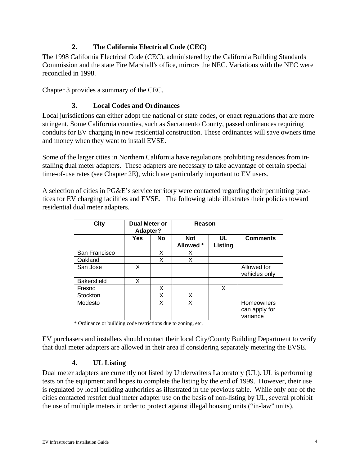#### **2. The California Electrical Code (CEC)**

The 1998 California Electrical Code (CEC), administered by the California Building Standards Commission and the state Fire Marshall's office, mirrors the NEC. Variations with the NEC were reconciled in 1998.

Chapter 3 provides a summary of the CEC.

#### **3. Local Codes and Ordinances**

Local jurisdictions can either adopt the national or state codes, or enact regulations that are more stringent. Some California counties, such as Sacramento County, passed ordinances requiring conduits for EV charging in new residential construction. These ordinances will save owners time and money when they want to install EVSE.

Some of the larger cities in Northern California have regulations prohibiting residences from installing dual meter adapters. These adapters are necessary to take advantage of certain special time-of-use rates (see Chapter 2E), which are particularly important to EV users.

A selection of cities in PG&E's service territory were contacted regarding their permitting practices for EV charging facilities and EVSE. The following table illustrates their policies toward residential dual meter adapters.

| City               | Dual Meter or<br>Adapter? |           | Reason                  |                      |                                         |
|--------------------|---------------------------|-----------|-------------------------|----------------------|-----------------------------------------|
|                    | Yes                       | <b>No</b> | <b>Not</b><br>Allowed * | UL<br><b>Listing</b> | <b>Comments</b>                         |
| San Francisco      |                           | X         | х                       |                      |                                         |
| Oakland            |                           | X         | X                       |                      |                                         |
| San Jose           | X                         |           |                         |                      | Allowed for<br>vehicles only            |
| <b>Bakersfield</b> | x                         |           |                         |                      |                                         |
| Fresno             |                           | X         |                         | X                    |                                         |
| Stockton           |                           | X         | X                       |                      |                                         |
| Modesto            |                           | X         | x                       |                      | Homeowners<br>can apply for<br>variance |

\* Ordinance or building code restrictions due to zoning, etc.

EV purchasers and installers should contact their local City/County Building Department to verify that dual meter adapters are allowed in their area if considering separately metering the EVSE.

#### **4. UL Listing**

Dual meter adapters are currently not listed by Underwriters Laboratory (UL). UL is performing tests on the equipment and hopes to complete the listing by the end of 1999. However, their use is regulated by local building authorities as illustrated in the previous table. While only one of the cities contacted restrict dual meter adapter use on the basis of non-listing by UL, several prohibit the use of multiple meters in order to protect against illegal housing units ("in-law" units).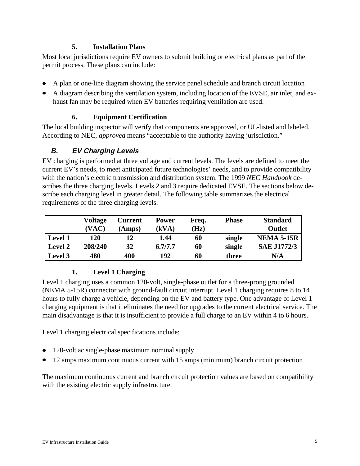#### **5. Installation Plans**

Most local jurisdictions require EV owners to submit building or electrical plans as part of the permit process. These plans can include:

- x A plan or one-line diagram showing the service panel schedule and branch circuit location
- A diagram describing the ventilation system, including location of the EVSE, air inlet, and exhaust fan may be required when EV batteries requiring ventilation are used.

#### **6. Equipment Certification**

The local building inspector will verify that components are approved, or UL-listed and labeled. According to NEC, *approved* means "acceptable to the authority having jurisdiction."

# **B. EV Charging Levels**

EV charging is performed at three voltage and current levels. The levels are defined to meet the current EV's needs, to meet anticipated future technologies' needs, and to provide compatibility with the nation's electric transmission and distribution system. The 1999 *NEC Handbook* describes the three charging levels. Levels 2 and 3 require dedicated EVSE. The sections below describe each charging level in greater detail. The following table summarizes the electrical requirements of the three charging levels.

|                | Voltage | Current | <b>Power</b> | Freq. | <b>Phase</b> | <b>Standard</b>    |
|----------------|---------|---------|--------------|-------|--------------|--------------------|
|                | (VAC)   | (Amps)  | (kVA)        | (Hz)  |              | Outlet             |
| <b>Level 1</b> | 120     |         | 1.44         | 60    | single       | <b>NEMA 5-15R</b>  |
| <b>Level 2</b> | 208/240 | 32      | 6.7/7.7      | 60    | single       | <b>SAE J1772/3</b> |
| Level 3        | 480     | 400     | 192          | 60    | three        | N/A                |

# **1. Level 1 Charging**

Level 1 charging uses a common 120-volt, single-phase outlet for a three-prong grounded (NEMA 5-15R) connector with ground-fault circuit interrupt. Level 1 charging requires 8 to 14 hours to fully charge a vehicle, depending on the EV and battery type. One advantage of Level 1 charging equipment is that it eliminates the need for upgrades to the current electrical service. The main disadvantage is that it is insufficient to provide a full charge to an EV within 4 to 6 hours.

Level 1 charging electrical specifications include:

- $\bullet$  120-volt ac single-phase maximum nominal supply
- 12 amps maximum continuous current with 15 amps (minimum) branch circuit protection

The maximum continuous current and branch circuit protection values are based on compatibility with the existing electric supply infrastructure.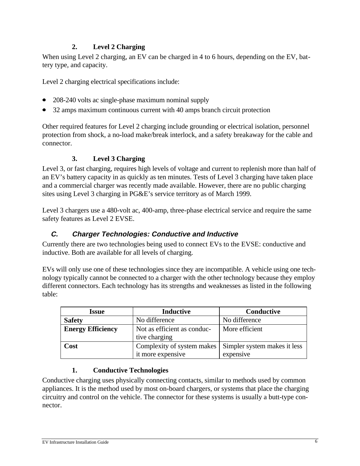#### **2. Level 2 Charging**

When using Level 2 charging, an EV can be charged in 4 to 6 hours, depending on the EV, battery type, and capacity.

Level 2 charging electrical specifications include:

- 208-240 volts ac single-phase maximum nominal supply
- 32 amps maximum continuous current with 40 amps branch circuit protection

Other required features for Level 2 charging include grounding or electrical isolation, personnel protection from shock, a no-load make/break interlock, and a safety breakaway for the cable and connector.

#### **3. Level 3 Charging**

Level 3, or fast charging, requires high levels of voltage and current to replenish more than half of an EV's battery capacity in as quickly as ten minutes. Tests of Level 3 charging have taken place and a commercial charger was recently made available. However, there are no public charging sites using Level 3 charging in PG&E's service territory as of March 1999.

Level 3 chargers use a 480-volt ac, 400-amp, three-phase electrical service and require the same safety features as Level 2 EVSE.

#### **C. Charger Technologies: Conductive and Inductive**

Currently there are two technologies being used to connect EVs to the EVSE: conductive and inductive. Both are available for all levels of charging.

EVs will only use one of these technologies since they are incompatible. A vehicle using one technology typically cannot be connected to a charger with the other technology because they employ different connectors. Each technology has its strengths and weaknesses as listed in the following table:

| <b>Issue</b>             | <b>Inductive</b>            | Conductive                   |  |
|--------------------------|-----------------------------|------------------------------|--|
| <b>Safety</b>            | No difference               | No difference                |  |
| <b>Energy Efficiency</b> | Not as efficient as conduc- | More efficient               |  |
|                          | tive charging               |                              |  |
| Cost                     | Complexity of system makes  | Simpler system makes it less |  |
|                          | it more expensive           | expensive                    |  |

#### **1. Conductive Technologies**

Conductive charging uses physically connecting contacts, similar to methods used by common appliances. It is the method used by most on-board chargers, or systems that place the charging circuitry and control on the vehicle. The connector for these systems is usually a butt-type connector.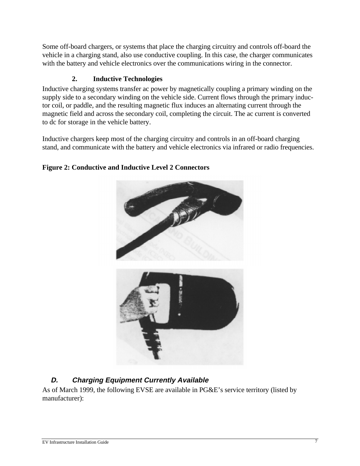Some off-board chargers, or systems that place the charging circuitry and controls off-board the vehicle in a charging stand, also use conductive coupling. In this case, the charger communicates with the battery and vehicle electronics over the communications wiring in the connector.

#### **2. Inductive Technologies**

Inductive charging systems transfer ac power by magnetically coupling a primary winding on the supply side to a secondary winding on the vehicle side. Current flows through the primary inductor coil, or paddle, and the resulting magnetic flux induces an alternating current through the magnetic field and across the secondary coil, completing the circuit. The ac current is converted to dc for storage in the vehicle battery.

Inductive chargers keep most of the charging circuitry and controls in an off-board charging stand, and communicate with the battery and vehicle electronics via infrared or radio frequencies.



#### **Figure 2: Conductive and Inductive Level 2 Connectors**

# **D. Charging Equipment Currently Available**

As of March 1999, the following EVSE are available in PG&E's service territory (listed by manufacturer):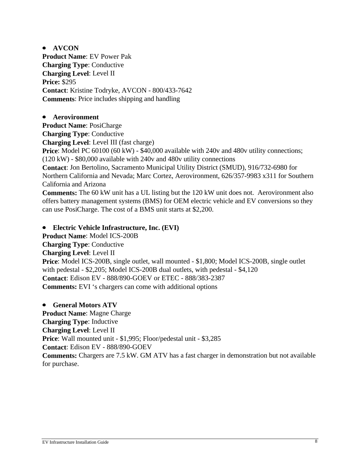**• AVCON Product Name**: EV Power Pak **Charging Type**: Conductive **Charging Level**: Level II **Price:** \$295 **Contact**: Kristine Todryke, AVCON - 800/433-7642 **Comments**: Price includes shipping and handling

#### **•** Aerovironment

**Product Name**: PosiCharge **Charging Type**: Conductive **Charging Level**: Level III (fast charge) **Price**: Model PC 60100 (60 kW) - \$40,000 available with 240v and 480v utility connections; (120 kW) - \$80,000 available with 240v and 480v utility connections **Contact**: Jon Bertolino, Sacramento Municipal Utility District (SMUD), 916/732-6980 for Northern California and Nevada; Marc Cortez, Aerovironment, 626/357-9983 x311 for Southern California and Arizona **Comments:** The 60 kW unit has a UL listing but the 120 kW unit does not. Aerovironment also offers battery management systems (BMS) for OEM electric vehicle and EV conversions so they

can use PosiCharge. The cost of a BMS unit starts at \$2,200.

x **Electric Vehicle Infrastructure, Inc. (EVI)**

**Product Name**: Model ICS-200B **Charging Type**: Conductive **Charging Level**: Level II **Price**: Model ICS-200B, single outlet, wall mounted - \$1,800; Model ICS-200B, single outlet with pedestal - \$2,205; Model ICS-200B dual outlets, with pedestal - \$4,120 **Contact**: Edison EV - 888/890-GOEV or ETEC - 888/383-2387 **Comments:** EVI 's chargers can come with additional options

**•** General Motors ATV

**Product Name**: Magne Charge **Charging Type**: Inductive **Charging Level**: Level II **Price**: Wall mounted unit - \$1,995; Floor/pedestal unit - \$3,285 **Contact**: Edison EV - 888/890-GOEV **Comments:** Chargers are 7.5 kW. GM ATV has a fast charger in demonstration but not available for purchase.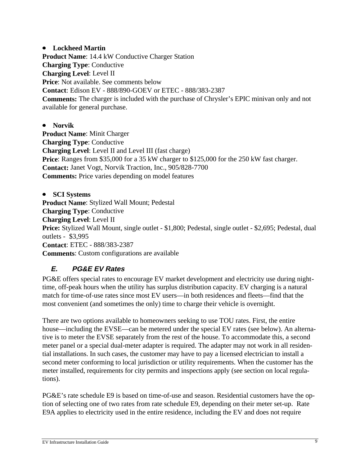#### **•** Lockheed Martin

**Product Name**: 14.4 kW Conductive Charger Station **Charging Type**: Conductive **Charging Level**: Level II **Price**: Not available. See comments below **Contact**: Edison EV - 888/890-GOEV or ETEC - 888/383-2387 **Comments:** The charger is included with the purchase of Chrysler's EPIC minivan only and not available for general purchase.

**•** Norvik **Product Name**: Minit Charger **Charging Type**: Conductive **Charging Level**: Level II and Level III (fast charge) **Price**: Ranges from \$35,000 for a 35 kW charger to \$125,000 for the 250 kW fast charger. **Contact:** Janet Vogt, Norvik Traction, Inc., 905/828-7700 **Comments:** Price varies depending on model features

• **SCI Systems Product Name**: Stylized Wall Mount; Pedestal **Charging Type**: Conductive **Charging Level**: Level II **Price:** Stylized Wall Mount, single outlet - \$1,800; Pedestal, single outlet - \$2,695; Pedestal, dual outlets - \$3,995 **Contact**: ETEC - 888/383-2387 **Comments**: Custom configurations are available

# **E. PG&E EV Rates**

PG&E offers special rates to encourage EV market development and electricity use during nighttime, off-peak hours when the utility has surplus distribution capacity. EV charging is a natural match for time-of-use rates since most EV users—in both residences and fleets—find that the most convenient (and sometimes the only) time to charge their vehicle is overnight.

There are two options available to homeowners seeking to use TOU rates. First, the entire house—including the EVSE—can be metered under the special EV rates (see below). An alternative is to meter the EVSE separately from the rest of the house. To accommodate this, a second meter panel or a special dual-meter adapter is required. The adapter may not work in all residential installations. In such cases, the customer may have to pay a licensed electrician to install a second meter conforming to local jurisdiction or utility requirements. When the customer has the meter installed, requirements for city permits and inspections apply (see section on local regulations).

PG&E's rate schedule E9 is based on time-of-use and season. Residential customers have the option of selecting one of two rates from rate schedule E9, depending on their meter set-up. Rate E9A applies to electricity used in the entire residence, including the EV and does not require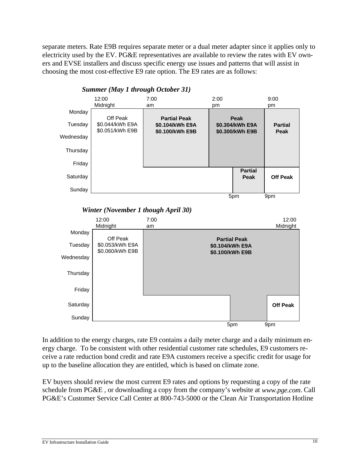separate meters. Rate E9B requires separate meter or a dual meter adapter since it applies only to electricity used by the EV. PG&E representatives are available to review the rates with EV owners and EVSE installers and discuss specific energy use issues and patterns that will assist in choosing the most cost-effective E9 rate option. The E9 rates are as follows:

![](_page_16_Figure_1.jpeg)

*Summer (May 1 through October 31)*

In addition to the energy charges, rate E9 contains a daily meter charge and a daily minimum energy charge. To be consistent with other residential customer rate schedules, E9 customers receive a rate reduction bond credit and rate E9A customers receive a specific credit for usage for up to the baseline allocation they are entitled, which is based on climate zone.

EV buyers should review the most current E9 rates and options by requesting a copy of the rate schedule from PG&E , or downloading a copy from the company's website at *www.pge.com*. Call PG&E's Customer Service Call Center at 800-743-5000 or the Clean Air Transportation Hotline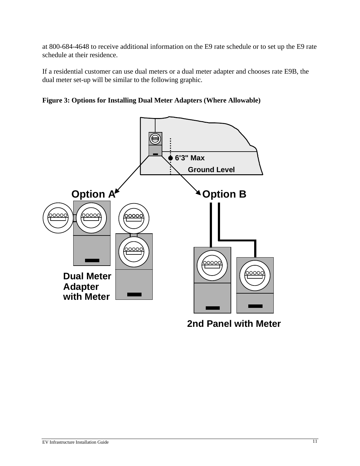at 800-684-4648 to receive additional information on the E9 rate schedule or to set up the E9 rate schedule at their residence.

If a residential customer can use dual meters or a dual meter adapter and chooses rate E9B, the dual meter set-up will be similar to the following graphic.

**Figure 3: Options for Installing Dual Meter Adapters (Where Allowable)**

![](_page_17_Figure_3.jpeg)

**2nd Panel with Meter**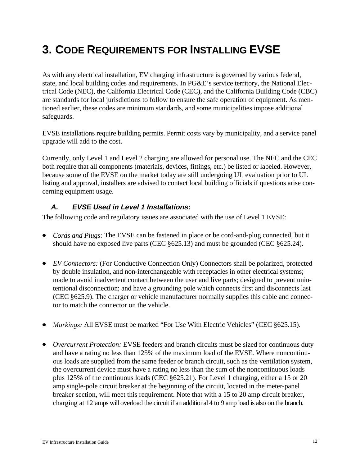# **3. CODE REQUIREMENTS FOR INSTALLING EVSE**

As with any electrical installation, EV charging infrastructure is governed by various federal, state, and local building codes and requirements. In PG&E's service territory, the National Electrical Code (NEC), the California Electrical Code (CEC), and the California Building Code (CBC) are standards for local jurisdictions to follow to ensure the safe operation of equipment. As mentioned earlier, these codes are minimum standards, and some municipalities impose additional safeguards.

EVSE installations require building permits. Permit costs vary by municipality, and a service panel upgrade will add to the cost.

Currently, only Level 1 and Level 2 charging are allowed for personal use. The NEC and the CEC both require that all components (materials, devices, fittings, etc.) be listed or labeled. However, because some of the EVSE on the market today are still undergoing UL evaluation prior to UL listing and approval, installers are advised to contact local building officials if questions arise concerning equipment usage.

#### **A. EVSE Used in Level 1 Installations:**

The following code and regulatory issues are associated with the use of Level 1 EVSE:

- *Cords and Plugs:* The EVSE can be fastened in place or be cord-and-plug connected, but it should have no exposed live parts (CEC §625.13) and must be grounded (CEC §625.24).
- *EV Connectors:* (For Conductive Connection Only) Connectors shall be polarized, protected by double insulation, and non-interchangeable with receptacles in other electrical systems; made to avoid inadvertent contact between the user and live parts; designed to prevent unintentional disconnection; and have a grounding pole which connects first and disconnects last (CEC §625.9). The charger or vehicle manufacturer normally supplies this cable and connector to match the connector on the vehicle.
- *Markings:* All EVSE must be marked "For Use With Electric Vehicles" (CEC §625.15).
- *Overcurrent Protection:* EVSE feeders and branch circuits must be sized for continuous duty and have a rating no less than 125% of the maximum load of the EVSE. Where noncontinuous loads are supplied from the same feeder or branch circuit, such as the ventilation system, the overcurrent device must have a rating no less than the sum of the noncontinuous loads plus 125% of the continuous loads (CEC §625.21). For Level 1 charging, either a 15 or 20 amp single-pole circuit breaker at the beginning of the circuit, located in the meter-panel breaker section, will meet this requirement. Note that with a 15 to 20 amp circuit breaker, charging at 12 amps will overload the circuit if an additional 4 to 9 amp load is also on the branch.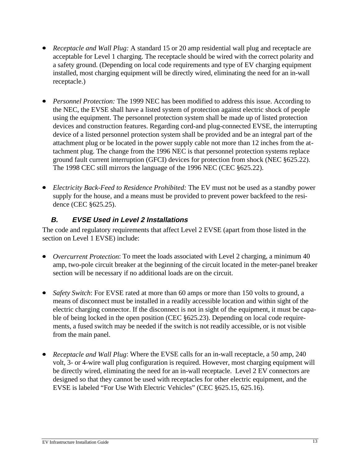- *Receptacle and Wall Plug:* A standard 15 or 20 amp residential wall plug and receptacle are acceptable for Level 1 charging. The receptacle should be wired with the correct polarity and a safety ground. (Depending on local code requirements and type of EV charging equipment installed, most charging equipment will be directly wired, eliminating the need for an in-wall receptacle.)
- *Personnel Protection:* The 1999 NEC has been modified to address this issue. According to the NEC, the EVSE shall have a listed system of protection against electric shock of people using the equipment. The personnel protection system shall be made up of listed protection devices and construction features. Regarding cord-and plug-connected EVSE, the interrupting device of a listed personnel protection system shall be provided and be an integral part of the attachment plug or be located in the power supply cable not more than 12 inches from the attachment plug. The change from the 1996 NEC is that personnel protection systems replace ground fault current interruption (GFCI) devices for protection from shock (NEC §625.22). The 1998 CEC still mirrors the language of the 1996 NEC (CEC §625.22).
- *Electricity Back-Feed to Residence Prohibited:* The EV must not be used as a standby power supply for the house, and a means must be provided to prevent power backfeed to the residence (CEC §625.25).

# **B. EVSE Used in Level 2 Installations**

The code and regulatory requirements that affect Level 2 EVSE (apart from those listed in the section on Level 1 EVSE) include:

- *Overcurrent Protection*: To meet the loads associated with Level 2 charging, a minimum 40 amp, two-pole circuit breaker at the beginning of the circuit located in the meter-panel breaker section will be necessary if no additional loads are on the circuit.
- *Safety Switch*: For EVSE rated at more than 60 amps or more than 150 volts to ground, a means of disconnect must be installed in a readily accessible location and within sight of the electric charging connector. If the disconnect is not in sight of the equipment, it must be capable of being locked in the open position (CEC §625.23). Depending on local code requirements, a fused switch may be needed if the switch is not readily accessible, or is not visible from the main panel.
- *Receptacle and Wall Plug*: Where the EVSE calls for an in-wall receptacle, a 50 amp, 240 volt, 3- or 4-wire wall plug configuration is required. However, most charging equipment will be directly wired, eliminating the need for an in-wall receptacle. Level 2 EV connectors are designed so that they cannot be used with receptacles for other electric equipment, and the EVSE is labeled "For Use With Electric Vehicles" (CEC §625.15, 625.16).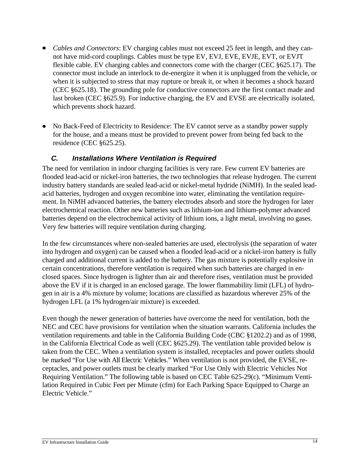- *Cables and Connectors*: EV charging cables must not exceed 25 feet in length, and they cannot have mid-cord couplings. Cables must be type EV, EVJ, EVE, EVJE, EVT, or EVJT flexible cable. EV charging cables and connectors come with the charger (CEC §625.17). The connector must include an interlock to de-energize it when it is unplugged from the vehicle, or when it is subjected to stress that may rupture or break it, or when it becomes a shock hazard (CEC §625.18). The grounding pole for conductive connectors are the first contact made and last broken (CEC §625.9). For inductive charging, the EV and EVSE are electrically isolated, which prevents shock hazard.
- No Back-Feed of Electricity to Residence: The EV cannot serve as a standby power supply for the house, and a means must be provided to prevent power from being fed back to the residence (CEC §625.25).

#### **C. Installations Where Ventilation is Required**

The need for ventilation in indoor charging facilities is very rare. Few current EV batteries are flooded lead-acid or nickel-iron batteries, the two technologies that release hydrogen. The current industry battery standards are sealed lead-acid or nickel-metal hydride (NiMH). In the sealed leadacid batteries, hydrogen and oxygen recombine into water, eliminating the ventilation requirement. In NiMH advanced batteries, the battery electrodes absorb and store the hydrogen for later electrochemical reaction. Other new batteries such as lithium-ion and lithium-polymer advanced batteries depend on the electrochemical activity of lithium ions, a light metal, involving no gases. Very few batteries will require ventilation during charging.

In the few circumstances where non-sealed batteries are used, electrolysis (the separation of water into hydrogen and oxygen) can be caused when a flooded lead-acid or a nickel-iron battery is fully charged and additional current is added to the battery. The gas mixture is potentially explosive in certain concentrations, therefore ventilation is required when such batteries are charged in enclosed spaces. Since hydrogen is lighter than air and therefore rises, ventilation must be provided above the EV if it is charged in an enclosed garage. The lower flammability limit (LFL) of hydrogen in air is a 4% mixture by volume; locations are classified as hazardous wherever 25% of the hydrogen LFL (a 1% hydrogen/air mixture) is exceeded.

Even though the newer generation of batteries have overcome the need for ventilation, both the NEC and CEC have provisions for ventilation when the situation warrants. California includes the ventilation requirements and table in the California Building Code (CBC §1202.2) and as of 1998, in the California Electrical Code as well (CEC §625.29). The ventilation table provided below is taken from the CEC. When a ventilation system is installed, receptacles and power outlets should be marked "For Use with All Electric Vehicles." When ventilation is not provided, the EVSE, receptacles, and power outlets must be clearly marked "For Use Only with Electric Vehicles Not Requiring Ventilation." The following table is based on CEC Table 625-29(c). "Minimum Ventilation Required in Cubic Feet per Minute (cfm) for Each Parking Space Equipped to Charge an Electric Vehicle."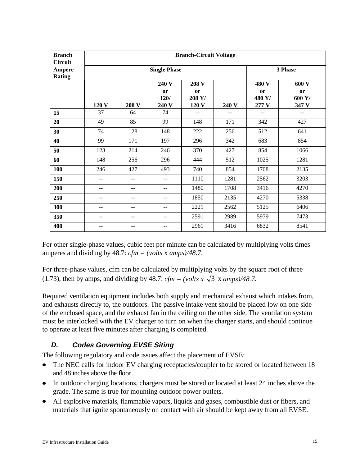| <b>Branch</b><br><b>Circuit</b> | <b>Branch-Circuit Voltage</b> |                |                                     |                                |       |                                |                                |
|---------------------------------|-------------------------------|----------------|-------------------------------------|--------------------------------|-------|--------------------------------|--------------------------------|
| Ampere<br><b>Rating</b>         |                               |                | 3 Phase                             |                                |       |                                |                                |
|                                 | 120 V                         | 208 V          | 240 V<br><b>or</b><br>120/<br>240 V | 208 V<br>or<br>208 Y/<br>120 V | 240 V | 480 V<br>or<br>480 Y/<br>277 V | 600 V<br>or<br>600 Y/<br>347 V |
| 15                              | 37                            | 64             | 74                                  | --                             | --    | $-$                            | --                             |
| 20                              | 49                            | 85             | 99                                  | 148                            | 171   | 342                            | 427                            |
| 30                              | 74                            | 128            | 148                                 | 222                            | 256   | 512                            | 641                            |
| 40                              | 99                            | 171            | 197                                 | 296                            | 342   | 683                            | 854                            |
| 50                              | 123                           | 214            | 246                                 | 370                            | 427   | 854                            | 1066                           |
| 60                              | 148                           | 256            | 296                                 | 444                            | 512   | 1025                           | 1281                           |
| 100                             | 246                           | 427            | 493                                 | 740                            | 854   | 1708                           | 2135                           |
| 150                             |                               | $\overline{a}$ | $-$                                 | 1110                           | 1281  | 2562                           | 3203                           |
| 200                             | --                            | $-$            | $- -$                               | 1480                           | 1708  | 3416                           | 4270                           |
| 250                             | --                            | --             | --                                  | 1850                           | 2135  | 4270                           | 5338                           |
| 300                             | --                            | --             | $-$                                 | 2221                           | 2562  | 5125                           | 6406                           |
| 350                             | --                            | --             | $-$                                 | 2591                           | 2989  | 5979                           | 7473                           |
| 400                             | --                            | $-$            | $-$                                 | 2961                           | 3416  | 6832                           | 8541                           |

For other single-phase values, cubic feet per minute can be calculated by multiplying volts times amperes and dividing by 48.7: *cfm = (volts* x *amps)/48.7*.

For three-phase values, cfm can be calculated by multiplying volts by the square root of three (1.73), then by amps, and dividing by 48.7:  $cfm = (volts x \sqrt{3} x \text{ amps})/48.7$ .

Required ventilation equipment includes both supply and mechanical exhaust which intakes from, and exhausts directly to, the outdoors. The passive intake vent should be placed low on one side of the enclosed space, and the exhaust fan in the ceiling on the other side. The ventilation system must be interlocked with the EV charger to turn on when the charger starts, and should continue to operate at least five minutes after charging is completed.

# **D. Codes Governing EVSE Siting**

The following regulatory and code issues affect the placement of EVSE:

- The NEC calls for indoor EV charging receptacles/coupler to be stored or located between 18 and 48 inches above the floor.
- $\bullet$  In outdoor charging locations, chargers must be stored or located at least 24 inches above the grade. The same is true for mounting outdoor power outlets.
- All explosive materials, flammable vapors, liquids and gases, combustible dust or fibers, and materials that ignite spontaneously on contact with air should be kept away from all EVSE.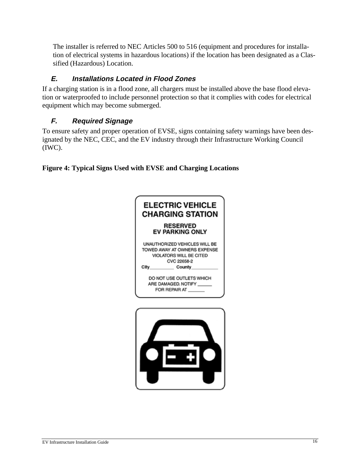The installer is referred to NEC Articles 500 to 516 (equipment and procedures for installation of electrical systems in hazardous locations) if the location has been designated as a Classified (Hazardous) Location.

# **E. Installations Located in Flood Zones**

If a charging station is in a flood zone, all chargers must be installed above the base flood elevation or waterproofed to include personnel protection so that it complies with codes for electrical equipment which may become submerged.

# **F. Required Signage**

To ensure safety and proper operation of EVSE, signs containing safety warnings have been designated by the NEC, CEC, and the EV industry through their Infrastructure Working Council (IWC).

**Figure 4: Typical Signs Used with EVSE and Charging Locations**

![](_page_22_Picture_6.jpeg)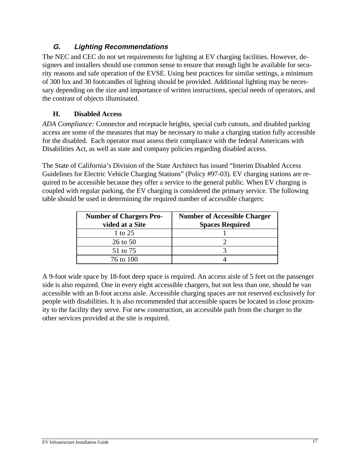# **G. Lighting Recommendations**

The NEC and CEC do not set requirements for lighting at EV charging facilities. However, designers and installers should use common sense to ensure that enough light be available for security reasons and safe operation of the EVSE. Using best practices for similar settings, a minimum of 300 lux and 30 footcandles of lighting should be provided. Additional lighting may be necessary depending on the size and importance of written instructions, special needs of operators, and the contrast of objects illuminated.

#### **H. Disabled Access**

*ADA Compliance:* Connector and receptacle heights, special curb cutouts, and disabled parking access are some of the measures that may be necessary to make a charging station fully accessible for the disabled. Each operator must assess their compliance with the federal Americans with Disabilities Act, as well as state and company policies regarding disabled access.

The State of California's Division of the State Architect has issued "Interim Disabled Access Guidelines for Electric Vehicle Charging Stations" (Policy #97-03). EV charging stations are required to be accessible because they offer a service to the general public. When EV charging is coupled with regular parking, the EV charging is considered the primary service. The following table should be used in determining the required number of accessible chargers:

| <b>Number of Chargers Pro-</b><br>vided at a Site | <b>Number of Accessible Charger</b><br><b>Spaces Required</b> |
|---------------------------------------------------|---------------------------------------------------------------|
| 1 to 25                                           |                                                               |
| $26$ to $50$                                      |                                                               |
| 51 to 75                                          |                                                               |
| 76 to 100                                         |                                                               |

A 9-foot wide space by 18-foot deep space is required. An access aisle of 5 feet on the passenger side is also required. One in every eight accessible chargers, but not less than one, should be van accessible with an 8-foot access aisle. Accessible charging spaces are not reserved exclusively for people with disabilities. It is also recommended that accessible spaces be located in close proximity to the facility they serve. For new construction, an accessible path from the charger to the other services provided at the site is required.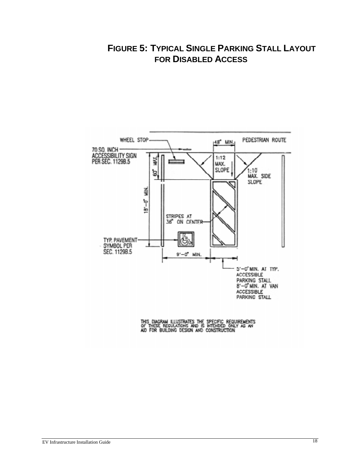# **FIGURE 5: TYPICAL SINGLE PARKING STALL LAYOUT FOR DISABLED ACCESS**

![](_page_24_Figure_1.jpeg)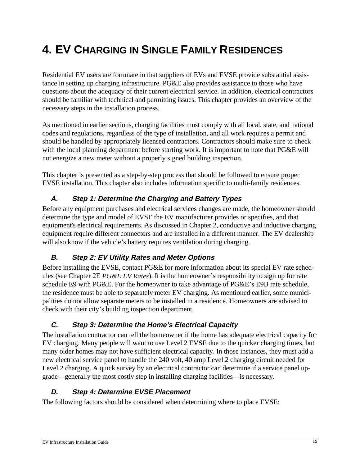# **4. EV CHARGING IN SINGLE FAMILY RESIDENCES**

Residential EV users are fortunate in that suppliers of EVs and EVSE provide substantial assistance in setting up charging infrastructure. PG&E also provides assistance to those who have questions about the adequacy of their current electrical service. In addition, electrical contractors should be familiar with technical and permitting issues. This chapter provides an overview of the necessary steps in the installation process.

As mentioned in earlier sections, charging facilities must comply with all local, state, and national codes and regulations, regardless of the type of installation, and all work requires a permit and should be handled by appropriately licensed contractors. Contractors should make sure to check with the local planning department before starting work. It is important to note that PG&E will not energize a new meter without a properly signed building inspection.

This chapter is presented as a step-by-step process that should be followed to ensure proper EVSE installation. This chapter also includes information specific to multi-family residences.

# **A. Step 1: Determine the Charging and Battery Types**

Before any equipment purchases and electrical services changes are made, the homeowner should determine the type and model of EVSE the EV manufacturer provides or specifies, and that equipment's electrical requirements. As discussed in Chapter 2, conductive and inductive charging equipment require different connectors and are installed in a different manner. The EV dealership will also know if the vehicle's battery requires ventilation during charging.

# **B. Step 2: EV Utility Rates and Meter Options**

Before installing the EVSE, contact PG&E for more information about its special EV rate schedules (see Chapter 2E *PG&E EV Rates*). It is the homeowner's responsibility to sign up for rate schedule E9 with PG&E. For the homeowner to take advantage of PG&E's E9B rate schedule, the residence must be able to separately meter EV charging. As mentioned earlier, some municipalities do not allow separate meters to be installed in a residence. Homeowners are advised to check with their city's building inspection department.

# **C. Step 3: Determine the Home's Electrical Capacity**

The installation contractor can tell the homeowner if the home has adequate electrical capacity for EV charging. Many people will want to use Level 2 EVSE due to the quicker charging times, but many older homes may not have sufficient electrical capacity. In those instances, they must add a new electrical service panel to handle the 240 volt, 40 amp Level 2 charging circuit needed for Level 2 charging. A quick survey by an electrical contractor can determine if a service panel upgrade—generally the most costly step in installing charging facilities—is necessary.

#### **D. Step 4: Determine EVSE Placement**

The following factors should be considered when determining where to place EVSE: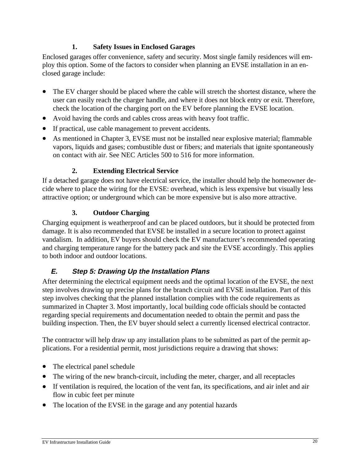#### **1. Safety Issues in Enclosed Garages**

Enclosed garages offer convenience, safety and security. Most single family residences will employ this option. Some of the factors to consider when planning an EVSE installation in an enclosed garage include:

- $\bullet$  The EV charger should be placed where the cable will stretch the shortest distance, where the user can easily reach the charger handle, and where it does not block entry or exit. Therefore, check the location of the charging port on the EV before planning the EVSE location.
- Avoid having the cords and cables cross areas with heavy foot traffic.
- If practical, use cable management to prevent accidents.
- As mentioned in Chapter 3, EVSE must not be installed near explosive material; flammable vapors, liquids and gases; combustible dust or fibers; and materials that ignite spontaneously on contact with air. See NEC Articles 500 to 516 for more information.

#### **2. Extending Electrical Service**

If a detached garage does not have electrical service, the installer should help the homeowner decide where to place the wiring for the EVSE: overhead, which is less expensive but visually less attractive option; or underground which can be more expensive but is also more attractive.

# **3. Outdoor Charging**

Charging equipment is weatherproof and can be placed outdoors, but it should be protected from damage. It is also recommended that EVSE be installed in a secure location to protect against vandalism. In addition, EV buyers should check the EV manufacturer's recommended operating and charging temperature range for the battery pack and site the EVSE accordingly. This applies to both indoor and outdoor locations.

# **E. Step 5: Drawing Up the Installation Plans**

After determining the electrical equipment needs and the optimal location of the EVSE, the next step involves drawing up precise plans for the branch circuit and EVSE installation. Part of this step involves checking that the planned installation complies with the code requirements as summarized in Chapter 3. Most importantly, local building code officials should be contacted regarding special requirements and documentation needed to obtain the permit and pass the building inspection. Then, the EV buyer should select a currently licensed electrical contractor.

The contractor will help draw up any installation plans to be submitted as part of the permit applications. For a residential permit, most jurisdictions require a drawing that shows:

- The electrical panel schedule
- The wiring of the new branch-circuit, including the meter, charger, and all receptacles
- If ventilation is required, the location of the vent fan, its specifications, and air inlet and air flow in cubic feet per minute
- The location of the EVSE in the garage and any potential hazards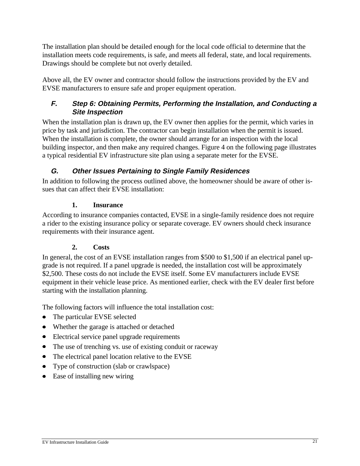The installation plan should be detailed enough for the local code official to determine that the installation meets code requirements, is safe, and meets all federal, state, and local requirements. Drawings should be complete but not overly detailed.

Above all, the EV owner and contractor should follow the instructions provided by the EV and EVSE manufacturers to ensure safe and proper equipment operation.

# **F. Step 6: Obtaining Permits, Performing the Installation, and Conducting a Site Inspection**

When the installation plan is drawn up, the EV owner then applies for the permit, which varies in price by task and jurisdiction. The contractor can begin installation when the permit is issued. When the installation is complete, the owner should arrange for an inspection with the local building inspector, and then make any required changes. Figure 4 on the following page illustrates a typical residential EV infrastructure site plan using a separate meter for the EVSE.

# **G. Other Issues Pertaining to Single Family Residences**

In addition to following the process outlined above, the homeowner should be aware of other issues that can affect their EVSE installation:

#### **1. Insurance**

According to insurance companies contacted, EVSE in a single-family residence does not require a rider to the existing insurance policy or separate coverage. EV owners should check insurance requirements with their insurance agent.

# **2. Costs**

In general, the cost of an EVSE installation ranges from \$500 to \$1,500 if an electrical panel upgrade is not required. If a panel upgrade is needed, the installation cost will be approximately \$2,500. These costs do not include the EVSE itself. Some EV manufacturers include EVSE equipment in their vehicle lease price. As mentioned earlier, check with the EV dealer first before starting with the installation planning.

The following factors will influence the total installation cost:

- The particular EVSE selected
- Whether the garage is attached or detached
- $\bullet$  Electrical service panel upgrade requirements
- $\bullet$  The use of trenching vs. use of existing conduit or raceway
- $\bullet$  The electrical panel location relative to the EVSE
- Type of construction (slab or crawlspace)
- $\bullet$  Ease of installing new wiring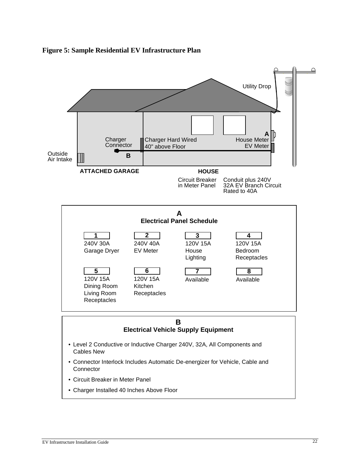![](_page_28_Figure_0.jpeg)

![](_page_28_Figure_1.jpeg)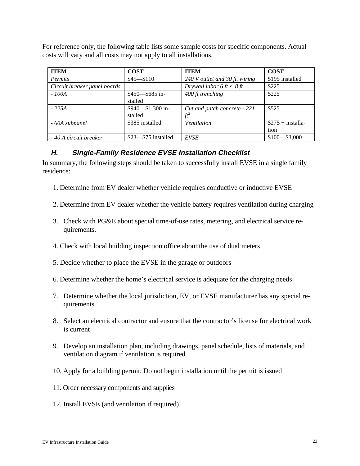For reference only, the following table lists some sample costs for specific components. Actual costs will vary and all costs may not apply to all installations.

| <b>ITEM</b>                  | <b>COST</b>             | <b>ITEM</b>                         | <b>COST</b>        |
|------------------------------|-------------------------|-------------------------------------|--------------------|
| Permits                      | $$45 - $110$            | 240 V outlet and 30 ft. wiring      | \$195 installed    |
| Circuit breaker panel boards |                         | Drywall labor 6 ft $x \frac{8}{11}$ | \$225              |
| - 100A                       | $$450 - $685$ in-       | 400 ft trenching                    | \$225              |
|                              | stalled                 |                                     |                    |
| $-225A$                      | $$940 - $1,300$ in-     | Cut and patch concrete - 221        | \$525              |
|                              | stalled                 | $f_1$                               |                    |
| - 60A subpanel               | \$385 installed         | Ventilation                         | $$275 + installa-$ |
|                              |                         |                                     | tion               |
| - 40 A circuit breaker       | $$23$ — $$75$ installed | <b>EVSE</b>                         | $$100 - $3,000$    |

#### **H. Single-Family Residence EVSE Installation Checklist**

In summary, the following steps should be taken to successfully install EVSE in a single family residence:

- 1. Determine from EV dealer whether vehicle requires conductive or inductive EVSE
- 2. Determine from EV dealer whether the vehicle battery requires ventilation during charging
- 3. Check with PG&E about special time-of-use rates, metering, and electrical service requirements.
- 4. Check with local building inspection office about the use of dual meters
- 5. Decide whether to place the EVSE in the garage or outdoors
- 6. Determine whether the home's electrical service is adequate for the charging needs
- 7. Determine whether the local jurisdiction, EV, or EVSE manufacturer has any special requirements
- 8. Select an electrical contractor and ensure that the contractor's license for electrical work is current
- 9. Develop an installation plan, including drawings, panel schedule, lists of materials, and ventilation diagram if ventilation is required
- 10. Apply for a building permit. Do not begin installation until the permit is issued
- 11. Order necessary components and supplies
- 12. Install EVSE (and ventilation if required)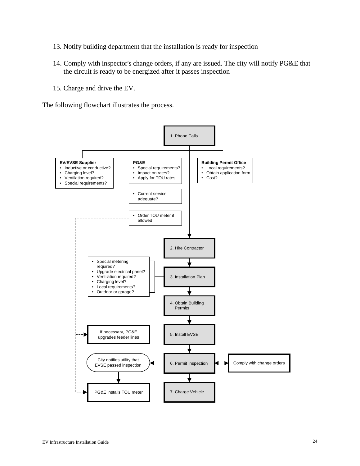- 13. Notify building department that the installation is ready for inspection
- 14. Comply with inspector's change orders, if any are issued. The city will notify PG&E that the circuit is ready to be energized after it passes inspection
- 15. Charge and drive the EV.

The following flowchart illustrates the process.

![](_page_30_Figure_4.jpeg)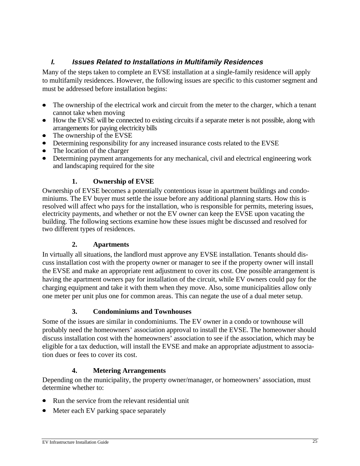#### **I. Issues Related to Installations in Multifamily Residences**

Many of the steps taken to complete an EVSE installation at a single-family residence will apply to multifamily residences. However, the following issues are specific to this customer segment and must be addressed before installation begins:

- $\bullet$  The ownership of the electrical work and circuit from the meter to the charger, which a tenant cannot take when moving
- How the EVSE will be connected to existing circuits if a separate meter is not possible, along with arrangements for paying electricity bills
- $\bullet$  The ownership of the EVSE
- Determining responsibility for any increased insurance costs related to the EVSE
- $\bullet$  The location of the charger
- Determining payment arrangements for any mechanical, civil and electrical engineering work and landscaping required for the site

#### **1. Ownership of EVSE**

Ownership of EVSE becomes a potentially contentious issue in apartment buildings and condominiums. The EV buyer must settle the issue before any additional planning starts. How this is resolved will affect who pays for the installation, who is responsible for permits, metering issues, electricity payments, and whether or not the EV owner can keep the EVSE upon vacating the building. The following sections examine how these issues might be discussed and resolved for two different types of residences.

#### **2. Apartments**

In virtually all situations, the landlord must approve any EVSE installation. Tenants should discuss installation cost with the property owner or manager to see if the property owner will install the EVSE and make an appropriate rent adjustment to cover its cost. One possible arrangement is having the apartment owners pay for installation of the circuit, while EV owners could pay for the charging equipment and take it with them when they move. Also, some municipalities allow only one meter per unit plus one for common areas. This can negate the use of a dual meter setup.

#### **3. Condominiums and Townhouses**

Some of the issues are similar in condominiums. The EV owner in a condo or townhouse will probably need the homeowners' association approval to install the EVSE. The homeowner should discuss installation cost with the homeowners' association to see if the association, which may be eligible for a tax deduction, will install the EVSE and make an appropriate adjustment to association dues or fees to cover its cost.

#### **4. Metering Arrangements**

Depending on the municipality, the property owner/manager, or homeowners' association, must determine whether to:

- $\bullet$  Run the service from the relevant residential unit
- Meter each EV parking space separately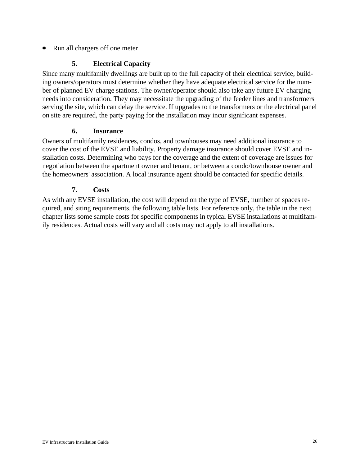Run all chargers off one meter

#### **5. Electrical Capacity**

Since many multifamily dwellings are built up to the full capacity of their electrical service, building owners/operators must determine whether they have adequate electrical service for the number of planned EV charge stations. The owner/operator should also take any future EV charging needs into consideration. They may necessitate the upgrading of the feeder lines and transformers serving the site, which can delay the service. If upgrades to the transformers or the electrical panel on site are required, the party paying for the installation may incur significant expenses.

#### **6. Insurance**

Owners of multifamily residences, condos, and townhouses may need additional insurance to cover the cost of the EVSE and liability. Property damage insurance should cover EVSE and installation costs. Determining who pays for the coverage and the extent of coverage are issues for negotiation between the apartment owner and tenant, or between a condo/townhouse owner and the homeowners' association. A local insurance agent should be contacted for specific details.

#### **7. Costs**

As with any EVSE installation, the cost will depend on the type of EVSE, number of spaces required, and siting requirements. the following table lists. For reference only, the table in the next chapter lists some sample costs for specific components in typical EVSE installations at multifamily residences. Actual costs will vary and all costs may not apply to all installations.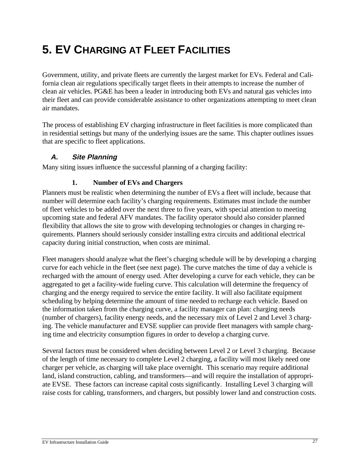# **5. EV CHARGING AT FLEET FACILITIES**

Government, utility, and private fleets are currently the largest market for EVs. Federal and California clean air regulations specifically target fleets in their attempts to increase the number of clean air vehicles. PG&E has been a leader in introducing both EVs and natural gas vehicles into their fleet and can provide considerable assistance to other organizations attempting to meet clean air mandates.

The process of establishing EV charging infrastructure in fleet facilities is more complicated than in residential settings but many of the underlying issues are the same. This chapter outlines issues that are specific to fleet applications.

#### **A. Site Planning**

Many siting issues influence the successful planning of a charging facility:

#### **1. Number of EVs and Chargers**

Planners must be realistic when determining the number of EVs a fleet will include, because that number will determine each facility's charging requirements. Estimates must include the number of fleet vehicles to be added over the next three to five years, with special attention to meeting upcoming state and federal AFV mandates. The facility operator should also consider planned flexibility that allows the site to grow with developing technologies or changes in charging requirements. Planners should seriously consider installing extra circuits and additional electrical capacity during initial construction, when costs are minimal.

Fleet managers should analyze what the fleet's charging schedule will be by developing a charging curve for each vehicle in the fleet (see next page). The curve matches the time of day a vehicle is recharged with the amount of energy used. After developing a curve for each vehicle, they can be aggregated to get a facility-wide fueling curve. This calculation will determine the frequency of charging and the energy required to service the entire facility. It will also facilitate equipment scheduling by helping determine the amount of time needed to recharge each vehicle. Based on the information taken from the charging curve, a facility manager can plan: charging needs (number of chargers), facility energy needs, and the necessary mix of Level 2 and Level 3 charging. The vehicle manufacturer and EVSE supplier can provide fleet managers with sample charging time and electricity consumption figures in order to develop a charging curve.

Several factors must be considered when deciding between Level 2 or Level 3 charging. Because of the length of time necessary to complete Level 2 charging, a facility will most likely need one charger per vehicle, as charging will take place overnight. This scenario may require additional land, island construction, cabling, and transformers—and will require the installation of appropriate EVSE. These factors can increase capital costs significantly. Installing Level 3 charging will raise costs for cabling, transformers, and chargers, but possibly lower land and construction costs.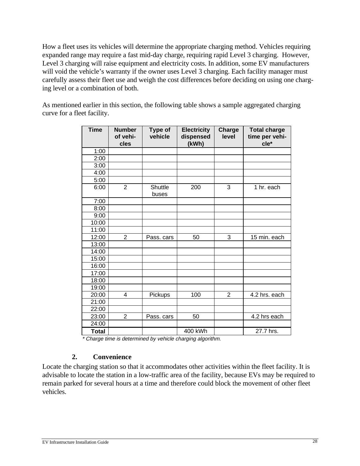How a fleet uses its vehicles will determine the appropriate charging method. Vehicles requiring expanded range may require a fast mid-day charge, requiring rapid Level 3 charging. However, Level 3 charging will raise equipment and electricity costs. In addition, some EV manufacturers will void the vehicle's warranty if the owner uses Level 3 charging. Each facility manager must carefully assess their fleet use and weigh the cost differences before deciding on using one charging level or a combination of both.

As mentioned earlier in this section, the following table shows a sample aggregated charging curve for a fleet facility.

| <b>Time</b>  | <b>Number</b><br>of vehi-<br>cles | <b>Type of</b><br>vehicle | <b>Electricity</b><br>dispensed<br>(kWh) | Charge<br>level | <b>Total charge</b><br>time per vehi-<br>cle* |
|--------------|-----------------------------------|---------------------------|------------------------------------------|-----------------|-----------------------------------------------|
| 1:00         |                                   |                           |                                          |                 |                                               |
| 2:00         |                                   |                           |                                          |                 |                                               |
| 3:00         |                                   |                           |                                          |                 |                                               |
| 4:00         |                                   |                           |                                          |                 |                                               |
| 5:00         |                                   |                           |                                          |                 |                                               |
| 6:00         | $\overline{2}$                    | Shuttle<br>buses          | 200                                      | 3               | 1 hr. each                                    |
| 7:00         |                                   |                           |                                          |                 |                                               |
| 8:00         |                                   |                           |                                          |                 |                                               |
| 9:00         |                                   |                           |                                          |                 |                                               |
| 10:00        |                                   |                           |                                          |                 |                                               |
| 11:00        |                                   |                           |                                          |                 |                                               |
| 12:00        | $\overline{2}$                    | Pass. cars                | 50                                       | 3               | 15 min. each                                  |
| 13:00        |                                   |                           |                                          |                 |                                               |
| 14:00        |                                   |                           |                                          |                 |                                               |
| 15:00        |                                   |                           |                                          |                 |                                               |
| 16:00        |                                   |                           |                                          |                 |                                               |
| 17:00        |                                   |                           |                                          |                 |                                               |
| 18:00        |                                   |                           |                                          |                 |                                               |
| 19:00        |                                   |                           |                                          |                 |                                               |
| 20:00        | 4                                 | Pickups                   | 100                                      | 2               | 4.2 hrs. each                                 |
| 21:00        |                                   |                           |                                          |                 |                                               |
| 22:00        |                                   |                           |                                          |                 |                                               |
| 23:00        | $\overline{2}$                    | Pass. cars                | 50                                       |                 | 4.2 hrs each                                  |
| 24:00        |                                   |                           |                                          |                 |                                               |
| <b>Total</b> |                                   |                           | 400 kWh                                  |                 | 27.7 hrs.                                     |

\* Charge time is determined by vehicle charging algorithm.

#### **2. Convenience**

Locate the charging station so that it accommodates other activities within the fleet facility. It is advisable to locate the station in a low-traffic area of the facility, because EVs may be required to remain parked for several hours at a time and therefore could block the movement of other fleet vehicles.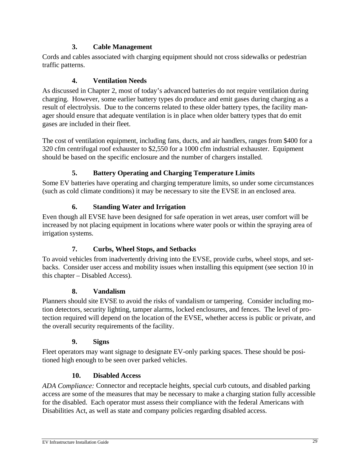#### **3. Cable Management**

Cords and cables associated with charging equipment should not cross sidewalks or pedestrian traffic patterns.

#### **4. Ventilation Needs**

As discussed in Chapter 2, most of today's advanced batteries do not require ventilation during charging. However, some earlier battery types do produce and emit gases during charging as a result of electrolysis. Due to the concerns related to these older battery types, the facility manager should ensure that adequate ventilation is in place when older battery types that do emit gases are included in their fleet.

The cost of ventilation equipment, including fans, ducts, and air handlers, ranges from \$400 for a 320 cfm centrifugal roof exhauster to \$2,550 for a 1000 cfm industrial exhauster. Equipment should be based on the specific enclosure and the number of chargers installed.

# **5. Battery Operating and Charging Temperature Limits**

Some EV batteries have operating and charging temperature limits, so under some circumstances (such as cold climate conditions) it may be necessary to site the EVSE in an enclosed area.

# **6. Standing Water and Irrigation**

Even though all EVSE have been designed for safe operation in wet areas, user comfort will be increased by not placing equipment in locations where water pools or within the spraying area of irrigation systems.

# **7. Curbs, Wheel Stops, and Setbacks**

To avoid vehicles from inadvertently driving into the EVSE, provide curbs, wheel stops, and setbacks. Consider user access and mobility issues when installing this equipment (see section 10 in this chapter – Disabled Access).

# **8. Vandalism**

Planners should site EVSE to avoid the risks of vandalism or tampering. Consider including motion detectors, security lighting, tamper alarms, locked enclosures, and fences. The level of protection required will depend on the location of the EVSE, whether access is public or private, and the overall security requirements of the facility.

#### **9. Signs**

Fleet operators may want signage to designate EV-only parking spaces. These should be positioned high enough to be seen over parked vehicles.

# **10. Disabled Access**

*ADA Compliance:* Connector and receptacle heights, special curb cutouts, and disabled parking access are some of the measures that may be necessary to make a charging station fully accessible for the disabled. Each operator must assess their compliance with the federal Americans with Disabilities Act, as well as state and company policies regarding disabled access.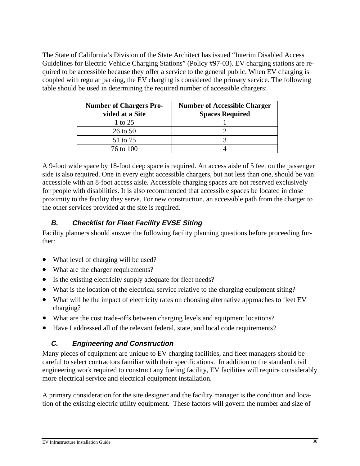The State of California's Division of the State Architect has issued "Interim Disabled Access Guidelines for Electric Vehicle Charging Stations" (Policy #97-03). EV charging stations are required to be accessible because they offer a service to the general public. When EV charging is coupled with regular parking, the EV charging is considered the primary service. The following table should be used in determining the required number of accessible chargers:

| <b>Number of Chargers Pro-</b><br>vided at a Site | <b>Number of Accessible Charger</b><br><b>Spaces Required</b> |
|---------------------------------------------------|---------------------------------------------------------------|
| 1 to 25                                           |                                                               |
| $26$ to $50$                                      |                                                               |
| 51 to 75                                          |                                                               |
| 76 to 100                                         |                                                               |

A 9-foot wide space by 18-foot deep space is required. An access aisle of 5 feet on the passenger side is also required. One in every eight accessible chargers, but not less than one, should be van accessible with an 8-foot access aisle. Accessible charging spaces are not reserved exclusively for people with disabilities. It is also recommended that accessible spaces be located in close proximity to the facility they serve. For new construction, an accessible path from the charger to the other services provided at the site is required.

# **B. Checklist for Fleet Facility EVSE Siting**

Facility planners should answer the following facility planning questions before proceeding further:

- What level of charging will be used?
- What are the charger requirements?
- Is the existing electricity supply adequate for fleet needs?
- What is the location of the electrical service relative to the charging equipment siting?
- What will be the impact of electricity rates on choosing alternative approaches to fleet EV charging?
- What are the cost trade-offs between charging levels and equipment locations?
- Have I addressed all of the relevant federal, state, and local code requirements?

# **C. Engineering and Construction**

Many pieces of equipment are unique to EV charging facilities, and fleet managers should be careful to select contractors familiar with their specifications. In addition to the standard civil engineering work required to construct any fueling facility, EV facilities will require considerably more electrical service and electrical equipment installation.

A primary consideration for the site designer and the facility manager is the condition and location of the existing electric utility equipment. These factors will govern the number and size of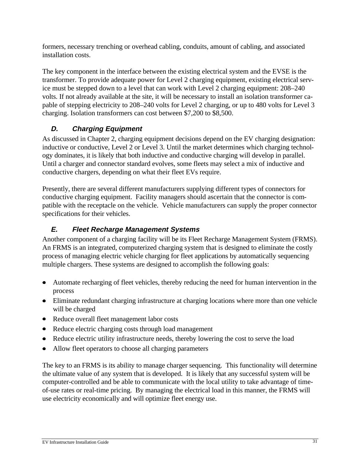formers, necessary trenching or overhead cabling, conduits, amount of cabling, and associated installation costs.

The key component in the interface between the existing electrical system and the EVSE is the transformer. To provide adequate power for Level 2 charging equipment, existing electrical service must be stepped down to a level that can work with Level 2 charging equipment: 208–240 volts. If not already available at the site, it will be necessary to install an isolation transformer capable of stepping electricity to 208–240 volts for Level 2 charging, or up to 480 volts for Level 3 charging. Isolation transformers can cost between \$7,200 to \$8,500.

# **D. Charging Equipment**

As discussed in Chapter 2, charging equipment decisions depend on the EV charging designation: inductive or conductive, Level 2 or Level 3. Until the market determines which charging technology dominates, it is likely that both inductive and conductive charging will develop in parallel. Until a charger and connector standard evolves, some fleets may select a mix of inductive and conductive chargers, depending on what their fleet EVs require.

Presently, there are several different manufacturers supplying different types of connectors for conductive charging equipment. Facility managers should ascertain that the connector is compatible with the receptacle on the vehicle. Vehicle manufacturers can supply the proper connector specifications for their vehicles.

# **E. Fleet Recharge Management Systems**

Another component of a charging facility will be its Fleet Recharge Management System (FRMS). An FRMS is an integrated, computerized charging system that is designed to eliminate the costly process of managing electric vehicle charging for fleet applications by automatically sequencing multiple chargers. These systems are designed to accomplish the following goals:

- Automate recharging of fleet vehicles, thereby reducing the need for human intervention in the process
- Eliminate redundant charging infrastructure at charging locations where more than one vehicle will be charged
- Reduce overall fleet management labor costs
- $\bullet$  Reduce electric charging costs through load management
- Reduce electric utility infrastructure needs, thereby lowering the cost to serve the load
- Allow fleet operators to choose all charging parameters

 The key to an FRMS is its ability to manage charger sequencing. This functionality will determine the ultimate value of any system that is developed. It is likely that any successful system will be computer-controlled and be able to communicate with the local utility to take advantage of timeof-use rates or real-time pricing. By managing the electrical load in this manner, the FRMS will use electricity economically and will optimize fleet energy use.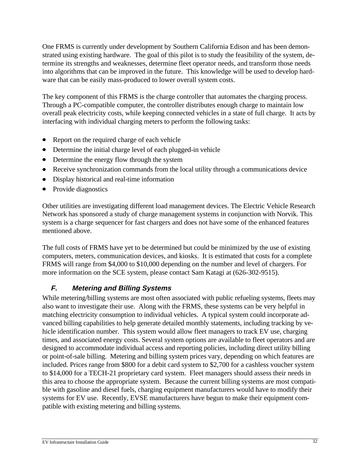One FRMS is currently under development by Southern California Edison and has been demonstrated using existing hardware. The goal of this pilot is to study the feasibility of the system, determine its strengths and weaknesses, determine fleet operator needs, and transform those needs into algorithms that can be improved in the future. This knowledge will be used to develop hardware that can be easily mass-produced to lower overall system costs.

 The key component of this FRMS is the charge controller that automates the charging process. Through a PC-compatible computer, the controller distributes enough charge to maintain low overall peak electricity costs, while keeping connected vehicles in a state of full charge. It acts by interfacing with individual charging meters to perform the following tasks:

- $\bullet$  Report on the required charge of each vehicle
- $\bullet$  Determine the initial charge level of each plugged-in vehicle
- Determine the energy flow through the system
- $\bullet$  Receive synchronization commands from the local utility through a communications device
- Display historical and real-time information
- $\bullet$  Provide diagnostics

Other utilities are investigating different load management devices. The Electric Vehicle Research Network has sponsored a study of charge management systems in conjunction with Norvik. This system is a charge sequencer for fast chargers and does not have some of the enhanced features mentioned above.

The full costs of FRMS have yet to be determined but could be minimized by the use of existing computers, meters, communication devices, and kiosks. It is estimated that costs for a complete FRMS will range from \$4,000 to \$10,000 depending on the number and level of chargers. For more information on the SCE system, please contact Sam Katagi at (626-302-9515).

# **F. Metering and Billing Systems**

While metering/billing systems are most often associated with public refueling systems, fleets may also want to investigate their use. Along with the FRMS, these systems can be very helpful in matching electricity consumption to individual vehicles. A typical system could incorporate advanced billing capabilities to help generate detailed monthly statements, including tracking by vehicle identification number. This system would allow fleet managers to track EV use, charging times, and associated energy costs. Several system options are available to fleet operators and are designed to accommodate individual access and reporting policies, including direct utility billing or point-of-sale billing. Metering and billing system prices vary, depending on which features are included. Prices range from \$800 for a debit card system to \$2,700 for a cashless voucher system to \$14,000 for a TECH-21 proprietary card system. Fleet managers should assess their needs in this area to choose the appropriate system. Because the current billing systems are most compatible with gasoline and diesel fuels, charging equipment manufacturers would have to modify their systems for EV use. Recently, EVSE manufacturers have begun to make their equipment compatible with existing metering and billing systems.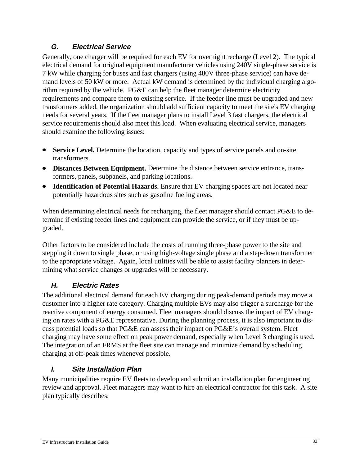# **G. Electrical Service**

Generally, one charger will be required for each EV for overnight recharge (Level 2). The typical electrical demand for original equipment manufacturer vehicles using 240V single-phase service is 7 kW while charging for buses and fast chargers (using 480V three-phase service) can have demand levels of 50 kW or more. Actual kW demand is determined by the individual charging algorithm required by the vehicle. PG&E can help the fleet manager determine electricity requirements and compare them to existing service. If the feeder line must be upgraded and new transformers added, the organization should add sufficient capacity to meet the site's EV charging needs for several years. If the fleet manager plans to install Level 3 fast chargers, the electrical service requirements should also meet this load. When evaluating electrical service, managers should examine the following issues:

- **Service Level.** Determine the location, capacity and types of service panels and on-site transformers.
- **Distances Between Equipment.** Determine the distance between service entrance, transformers, panels, subpanels, and parking locations.
- **Identification of Potential Hazards.** Ensure that EV charging spaces are not located near potentially hazardous sites such as gasoline fueling areas.

When determining electrical needs for recharging, the fleet manager should contact PG&E to determine if existing feeder lines and equipment can provide the service, or if they must be upgraded.

Other factors to be considered include the costs of running three-phase power to the site and stepping it down to single phase, or using high-voltage single phase and a step-down transformer to the appropriate voltage. Again, local utilities will be able to assist facility planners in determining what service changes or upgrades will be necessary.

# **H. Electric Rates**

The additional electrical demand for each EV charging during peak-demand periods may move a customer into a higher rate category. Charging multiple EVs may also trigger a surcharge for the reactive component of energy consumed. Fleet managers should discuss the impact of EV charging on rates with a PG&E representative. During the planning process, it is also important to discuss potential loads so that PG&E can assess their impact on PG&E's overall system. Fleet charging may have some effect on peak power demand, especially when Level 3 charging is used. The integration of an FRMS at the fleet site can manage and minimize demand by scheduling charging at off-peak times whenever possible.

# **I. Site Installation Plan**

Many municipalities require EV fleets to develop and submit an installation plan for engineering review and approval. Fleet managers may want to hire an electrical contractor for this task. A site plan typically describes: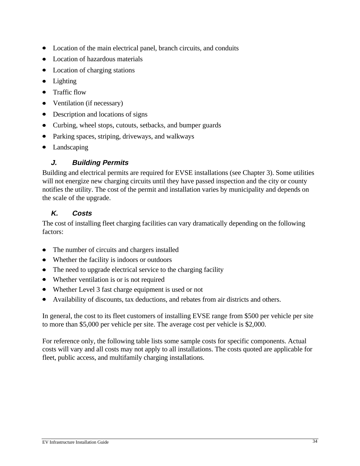- $\bullet$  Location of the main electrical panel, branch circuits, and conduits
- Location of hazardous materials
- $\bullet$  Location of charging stations
- $\bullet$  Lighting
- $\bullet$  Traffic flow
- $\bullet$  Ventilation (if necessary)
- $\bullet$  Description and locations of signs
- Curbing, wheel stops, cutouts, setbacks, and bumper guards
- $\bullet$  Parking spaces, striping, driveways, and walkways
- $\bullet$  Landscaping

#### **J. Building Permits**

Building and electrical permits are required for EVSE installations (see Chapter 3). Some utilities will not energize new charging circuits until they have passed inspection and the city or county notifies the utility. The cost of the permit and installation varies by municipality and depends on the scale of the upgrade.

# **K. Costs**

The cost of installing fleet charging facilities can vary dramatically depending on the following factors:

- The number of circuits and chargers installed
- Whether the facility is indoors or outdoors
- $\bullet$  The need to upgrade electrical service to the charging facility
- Whether ventilation is or is not required
- Whether Level 3 fast charge equipment is used or not
- Availability of discounts, tax deductions, and rebates from air districts and others.

In general, the cost to its fleet customers of installing EVSE range from \$500 per vehicle per site to more than \$5,000 per vehicle per site. The average cost per vehicle is \$2,000.

For reference only, the following table lists some sample costs for specific components. Actual costs will vary and all costs may not apply to all installations. The costs quoted are applicable for fleet, public access, and multifamily charging installations.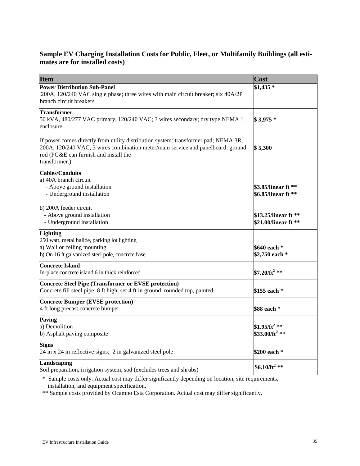#### **Sample EV Charging Installation Costs for Public, Fleet, or Multifamily Buildings (all estimates are for installed costs)**

| <b>Item</b>                                                                                                                                                                                                                       | Cost                                                    |
|-----------------------------------------------------------------------------------------------------------------------------------------------------------------------------------------------------------------------------------|---------------------------------------------------------|
| <b>Power Distribution Sub-Panel</b><br>200A, 120/240 VAC single phase; three wires with main circuit breaker; six 40A/2P<br>branch circuit breakers                                                                               | $$1,435$ *                                              |
| <b>Transformer</b><br>50 kVA, 480/277 VAC primary, 120/240 VAC; 3 wires secondary; dry type NEMA 1<br>enclosure                                                                                                                   | $$3,975*$                                               |
| If power comes directly from utility distribution system: transformer pad; NEMA 3R,<br>200A, 120/240 VAC; 3 wires combination meter/main service and panelboard; ground<br>rod (PG&E can furnish and install the<br>transformer.) | \$5,300                                                 |
| <b>Cables/Conduits</b><br>a) 40A branch circuit<br>- Above ground installation<br>- Underground installation                                                                                                                      | \$3.85/linear ft **<br>\$6.85/linear ft **              |
| b) 200A feeder circuit<br>- Above ground installation<br>- Underground installation                                                                                                                                               | \$13.25/linear ft **<br>\$21.00/linear ft **            |
| <b>Lighting</b><br>250 watt, metal halide, parking lot lighting<br>a) Wall or ceiling mounting<br>b) On 16 ft galvanized steel pole, concrete base                                                                                | \$640 each *<br>\$2,750 each *                          |
| <b>Concrete Island</b><br>In-place concrete island 6 in thick reinforced                                                                                                                                                          | \$7.20/ft <sup>2</sup> **                               |
| <b>Concrete Steel Pipe (Transformer or EVSE protection)</b><br>Concrete fill steel pipe, 8 ft high, set 4 ft in ground, rounded top, painted                                                                                      | \$155 each *                                            |
| <b>Concrete Bumper (EVSE protection)</b><br>4 ft long precast concrete bumper                                                                                                                                                     | \$88 each *                                             |
| Paving<br>a) Demolition<br>b) Asphalt paving composite                                                                                                                                                                            | \$1.95/ft <sup>2</sup> **<br>\$33.00/ft <sup>2</sup> ** |
| <b>Signs</b><br>24 in x 24 in reflective signs; 2 in galvanized steel pole                                                                                                                                                        | \$200 each *                                            |
| Landscaping<br>Soil preparation, irrigation system, sod (excludes trees and shrubs)                                                                                                                                               | \$6.10/ft <sup>2</sup> **                               |

\* Sample costs only. Actual cost may differ significantly depending on location, site requirements, installation, and equipment specification.

\*\* Sample costs provided by Ocampo Esta Corporation. Actual cost may differ significantly.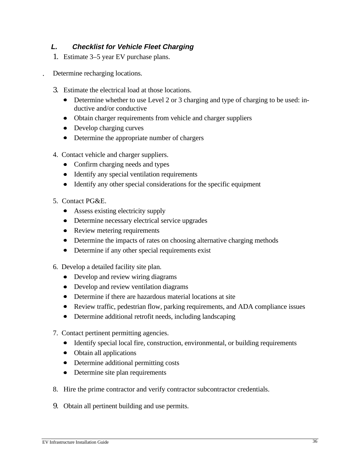#### **L. Checklist for Vehicle Fleet Charging**

- 1. Estimate 3–5 year EV purchase plans.
- . Determine recharging locations.
	- 3. Estimate the electrical load at those locations.
		- Determine whether to use Level 2 or 3 charging and type of charging to be used: inductive and/or conductive
		- Obtain charger requirements from vehicle and charger suppliers
		- $\bullet$  Develop charging curves
		- Determine the appropriate number of chargers
	- 4. Contact vehicle and charger suppliers.
		- Confirm charging needs and types
		- Identify any special ventilation requirements
		- $\bullet$  Identify any other special considerations for the specific equipment
	- 5. Contact PG&E.
		- Assess existing electricity supply
		- Determine necessary electrical service upgrades
		- Review metering requirements
		- Determine the impacts of rates on choosing alternative charging methods
		- $\bullet$  Determine if any other special requirements exist
	- 6. Develop a detailed facility site plan.
		- Develop and review wiring diagrams
		- $\bullet$  Develop and review ventilation diagrams
		- Determine if there are hazardous material locations at site
		- Review traffic, pedestrian flow, parking requirements, and ADA compliance issues
		- Determine additional retrofit needs, including landscaping
	- 7. Contact pertinent permitting agencies.
		- Identify special local fire, construction, environmental, or building requirements
		- $\bullet$  Obtain all applications
		- Determine additional permitting costs
		- Determine site plan requirements
	- 8. Hire the prime contractor and verify contractor subcontractor credentials.
	- 9. Obtain all pertinent building and use permits.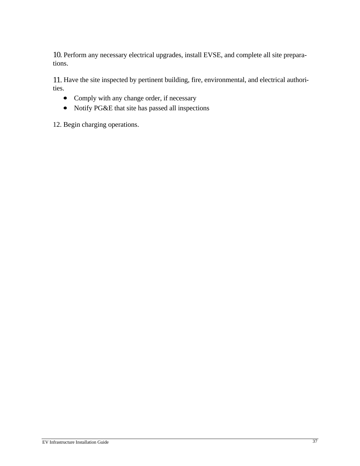10. Perform any necessary electrical upgrades, install EVSE, and complete all site preparations.

11. Have the site inspected by pertinent building, fire, environmental, and electrical authorities.

- Comply with any change order, if necessary
- Notify PG&E that site has passed all inspections

12. Begin charging operations.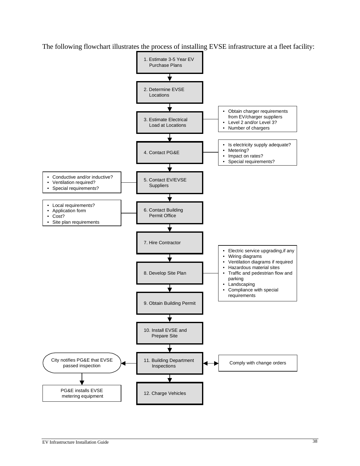The following flowchart illustrates the process of installing EVSE infrastructure at a fleet facility:

![](_page_44_Figure_1.jpeg)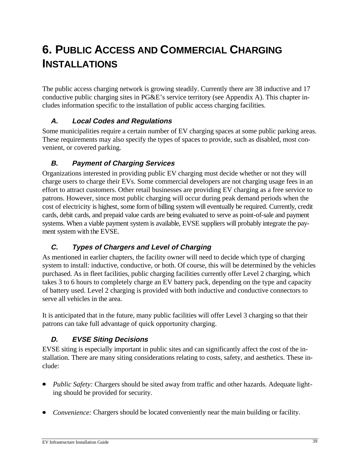# **6. PUBLIC ACCESS AND COMMERCIAL CHARGING INSTALLATIONS**

The public access charging network is growing steadily. Currently there are 38 inductive and 17 conductive public charging sites in PG&E's service territory (see Appendix A). This chapter includes information specific to the installation of public access charging facilities.

# **A. Local Codes and Regulations**

Some municipalities require a certain number of EV charging spaces at some public parking areas. These requirements may also specify the types of spaces to provide, such as disabled, most convenient, or covered parking.

# **B. Payment of Charging Services**

Organizations interested in providing public EV charging must decide whether or not they will charge users to charge their EVs. Some commercial developers are not charging usage fees in an effort to attract customers. Other retail businesses are providing EV charging as a free service to patrons. However, since most public charging will occur during peak demand periods when the cost of electricity is highest, some form of billing system will eventually be required. Currently, credit cards, debit cards, and prepaid value cards are being evaluated to serve as point-of-sale and payment systems. When a viable payment system is available, EVSE suppliers will probably integrate the payment system with the EVSE.

# **C. Types of Chargers and Level of Charging**

As mentioned in earlier chapters, the facility owner will need to decide which type of charging system to install: inductive, conductive, or both. Of course, this will be determined by the vehicles purchased. As in fleet facilities, public charging facilities currently offer Level 2 charging, which takes 3 to 6 hours to completely charge an EV battery pack, depending on the type and capacity of battery used. Level 2 charging is provided with both inductive and conductive connectors to serve all vehicles in the area.

It is anticipated that in the future, many public facilities will offer Level 3 charging so that their patrons can take full advantage of quick opportunity charging.

# **D. EVSE Siting Decisions**

EVSE siting is especially important in public sites and can significantly affect the cost of the installation. There are many siting considerations relating to costs, safety, and aesthetics. These include:

- *Public Safety:* Chargers should be sited away from traffic and other hazards. Adequate lighting should be provided for security.
- *Convenience:* Chargers should be located conveniently near the main building or facility.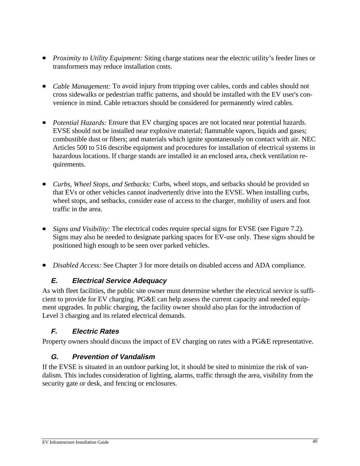- *Proximity to Utility Equipment:* Siting charge stations near the electric utility's feeder lines or transformers may reduce installation costs.
- *Cable Management:* To avoid injury from tripping over cables, cords and cables should not cross sidewalks or pedestrian traffic patterns, and should be installed with the EV user's convenience in mind. Cable retractors should be considered for permanently wired cables.
- *Potential Hazards:* Ensure that EV charging spaces are not located near potential hazards. EVSE should not be installed near explosive material; flammable vapors, liquids and gases; combustible dust or fibers; and materials which ignite spontaneously on contact with air. NEC Articles 500 to 516 describe equipment and procedures for installation of electrical systems in hazardous locations. If charge stands are installed in an enclosed area, check ventilation requirements.
- x *Curbs, Wheel Stops, and Setbacks:* Curbs, wheel stops, and setbacks should be provided so that EVs or other vehicles cannot inadvertently drive into the EVSE. When installing curbs, wheel stops, and setbacks, consider ease of access to the charger, mobility of users and foot traffic in the area.
- *Signs and Visibility:* The electrical codes require special signs for EVSE (see Figure 7.2). Signs may also be needed to designate parking spaces for EV-use only. These signs should be positioned high enough to be seen over parked vehicles.
- x *Disabled Access:* See Chapter 3 for more details on disabled access and ADA compliance.

# **E. Electrical Service Adequacy**

As with fleet facilities, the public site owner must determine whether the electrical service is sufficient to provide for EV charging. PG&E can help assess the current capacity and needed equipment upgrades. In public charging, the facility owner should also plan for the introduction of Level 3 charging and its related electrical demands.

# **F. Electric Rates**

Property owners should discuss the impact of EV charging on rates with a PG&E representative.

# **G. Prevention of Vandalism**

If the EVSE is situated in an outdoor parking lot, it should be sited to minimize the risk of vandalism. This includes consideration of lighting, alarms, traffic through the area, visibility from the security gate or desk, and fencing or enclosures.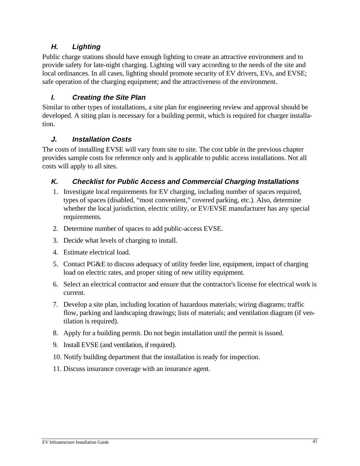### **H. Lighting**

Public charge stations should have enough lighting to create an attractive environment and to provide safety for late-night charging. Lighting will vary according to the needs of the site and local ordinances. In all cases, lighting should promote security of EV drivers, EVs, and EVSE; safe operation of the charging equipment; and the attractiveness of the environment.

#### **I. Creating the Site Plan**

Similar to other types of installations, a site plan for engineering review and approval should be developed. A siting plan is necessary for a building permit, which is required for charger installation.

#### **J. Installation Costs**

The costs of installing EVSE will vary from site to site. The cost table in the previous chapter provides sample costs for reference only and is applicable to public access installations. Not all costs will apply to all sites.

#### **K. Checklist for Public Access and Commercial Charging Installations**

- 1. Investigate local requirements for EV charging, including number of spaces required, types of spaces (disabled, "most convenient," covered parking, etc.). Also, determine whether the local jurisdiction, electric utility, or EV/EVSE manufacturer has any special requirements.
- 2. Determine number of spaces to add public-access EVSE.
- 3. Decide what levels of charging to install.
- 4. Estimate electrical load.
- 5. Contact PG&E to discuss adequacy of utility feeder line, equipment, impact of charging load on electric rates, and proper siting of new utility equipment.
- 6. Select an electrical contractor and ensure that the contractor's license for electrical work is current.
- 7. Develop a site plan, including location of hazardous materials; wiring diagrams; traffic flow, parking and landscaping drawings; lists of materials; and ventilation diagram (if ventilation is required).
- 8. Apply for a building permit. Do not begin installation until the permit is issued.
- 9. Install EVSE (and ventilation, if required).
- 10. Notify building department that the installation is ready for inspection.
- 11. Discuss insurance coverage with an insurance agent.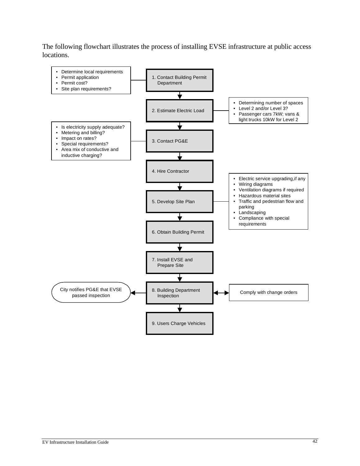The following flowchart illustrates the process of installing EVSE infrastructure at public access locations.

![](_page_48_Figure_1.jpeg)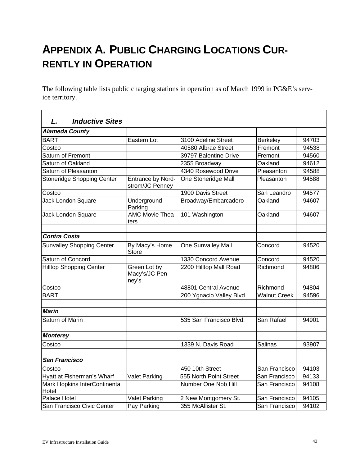# **APPENDIX A. PUBLIC CHARGING LOCATIONS CUR-RENTLY IN OPERATION**

The following table lists public charging stations in operation as of March 1999 in PG&E's service territory.

| <b>Inductive Sites</b><br>L.           |                                         |                          |                     |       |
|----------------------------------------|-----------------------------------------|--------------------------|---------------------|-------|
| <b>Alameda County</b>                  |                                         |                          |                     |       |
| <b>BART</b>                            | Eastern Lot                             | 3100 Adeline Street      | <b>Berkeley</b>     | 94703 |
| Costco                                 |                                         | 40580 Albrae Street      | Fremont             | 94538 |
| Saturn of Fremont                      |                                         | 39797 Balentine Drive    | Fremont             | 94560 |
| Saturn of Oakland                      |                                         | 2355 Broadway            | Oakland             | 94612 |
| Saturn of Pleasanton                   |                                         | 4340 Rosewood Drive      | Pleasanton          | 94588 |
| Stoneridge Shopping Center             | Entrance by Nord-<br>strom/JC Penney    | One Stoneridge Mall      | Pleasanton          | 94588 |
| Costco                                 |                                         | 1900 Davis Street        | San Leandro         | 94577 |
| Jack London Square                     | Underground<br>Parking                  | Broadway/Embarcadero     | Oakland             | 94607 |
| Jack London Square                     | AMC Movie Thea-<br>ters                 | 101 Washington           | Oakland             | 94607 |
| <b>Contra Costa</b>                    |                                         |                          |                     |       |
| <b>Sunvalley Shopping Center</b>       | By Macy's Home<br>Store                 | One Sunvalley Mall       | Concord             | 94520 |
| Saturn of Concord                      |                                         | 1330 Concord Avenue      | Concord             | 94520 |
| <b>Hilltop Shopping Center</b>         | Green Lot by<br>Macy's/JC Pen-<br>ney's | 2200 Hilltop Mall Road   | Richmond            | 94806 |
| Costco                                 |                                         | 48801 Central Avenue     | Richmond            | 94804 |
| <b>BART</b>                            |                                         | 200 Ygnacio Valley Blvd. | <b>Walnut Creek</b> | 94596 |
| <b>Marin</b>                           |                                         |                          |                     |       |
| Saturn of Marin                        |                                         | 535 San Francisco Blvd.  | San Rafael          | 94901 |
| <b>Monterey</b>                        |                                         |                          |                     |       |
| Costco                                 |                                         | 1339 N. Davis Road       | Salinas             | 93907 |
| <b>San Francisco</b>                   |                                         |                          |                     |       |
| Costco                                 |                                         | 450 10th Street          | San Francisco       | 94103 |
| Hyatt at Fisherman's Wharf             | <b>Valet Parking</b>                    | 555 North Point Street   | San Francisco       | 94133 |
| Mark Hopkins InterContinental<br>Hotel |                                         | Number One Nob Hill      | San Francisco       | 94108 |
| Palace Hotel                           | Valet Parking                           | 2 New Montgomery St.     | San Francisco       | 94105 |
| San Francisco Civic Center             | Pay Parking                             | 355 McAllister St.       | San Franciscol      | 94102 |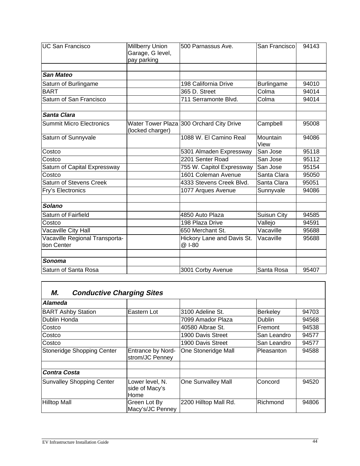| <b>UC San Francisco</b>                       | Millberry Union<br>Garage, G level,<br>pay parking | 500 Parnassus Ave.                       | San Francisco     | 94143 |
|-----------------------------------------------|----------------------------------------------------|------------------------------------------|-------------------|-------|
| <b>San Mateo</b>                              |                                                    |                                          |                   |       |
| Saturn of Burlingame                          |                                                    | 198 California Drive                     | <b>Burlingame</b> | 94010 |
| <b>BART</b>                                   |                                                    | 365 D. Street                            | Colma             | 94014 |
| Saturn of San Francisco                       |                                                    | 711 Serramonte Blvd.                     | Colma             | 94014 |
| <b>Santa Clara</b>                            |                                                    |                                          |                   |       |
| <b>Summit Micro Electronics</b>               | (locked charger)                                   | Water Tower Plaza 300 Orchard City Drive | Campbell          | 95008 |
| Saturn of Sunnyvale                           |                                                    | 1088 W. El Camino Real                   | Mountain<br>View  | 94086 |
| Costco                                        |                                                    | 5301 Almaden Expressway                  | San Jose          | 95118 |
| Costco                                        |                                                    | 2201 Senter Road                         | San Jose          | 95112 |
| Saturn of Capital Expressway                  |                                                    | 755 W. Capitol Expressway                | San Jose          | 95154 |
| Costco                                        |                                                    | 1601 Coleman Avenue                      | Santa Clara       | 95050 |
| <b>Saturn of Stevens Creek</b>                |                                                    | 4333 Stevens Creek Blvd.                 | Santa Clara       | 95051 |
| Fry's Electronics                             |                                                    | 1077 Arques Avenue                       | Sunnyvale         | 94086 |
| Solano                                        |                                                    |                                          |                   |       |
| Saturn of Fairfield                           |                                                    | 4850 Auto Plaza                          | Suisun City       | 94585 |
| Costco                                        |                                                    | 198 Plaza Drive                          | Vallejo           | 94591 |
| Vacaville City Hall                           |                                                    | 650 Merchant St.                         | Vacaville         | 95688 |
| Vacaville Regional Transporta-<br>tion Center |                                                    | Hickory Lane and Davis St.<br>@ I-80     | Vacaville         | 95688 |
| Sonoma                                        |                                                    |                                          |                   |       |
| Saturn of Santa Rosa                          |                                                    | 3001 Corby Avenue                        | Santa Rosa        | 95407 |

# **M. Conductive Charging Sites**

| Alameda                          |                                           |                       |                 |       |
|----------------------------------|-------------------------------------------|-----------------------|-----------------|-------|
| <b>BART Ashby Station</b>        | lEastern Lot                              | 3100 Adeline St.      | <b>Berkeley</b> | 94703 |
| Dublin Honda                     |                                           | 7099 Amador Plaza     | <b>Dublin</b>   | 94568 |
| Costco                           |                                           | 40580 Albrae St.      | <b>IFremont</b> | 94538 |
| Costco                           |                                           | 1900 Davis Street     | San Leandro     | 94577 |
| Costco                           |                                           | 1900 Davis Street     | San Leandro     | 94577 |
| Stoneridge Shopping Center       | Entrance by Nord-<br>strom/JC Penney      | One Stoneridge Mall   | Pleasanton      | 94588 |
|                                  |                                           |                       |                 |       |
| <b>Contra Costa</b>              |                                           |                       |                 |       |
| <b>Sunvalley Shopping Center</b> | Lower level, N.<br>side of Macy's<br>Home | One Sunvalley Mall    | Concord         | 94520 |
| <b>Hilltop Mall</b>              | Green Lot By<br>Macy's/JC Penney          | 2200 Hilltop Mall Rd. | Richmond        | 94806 |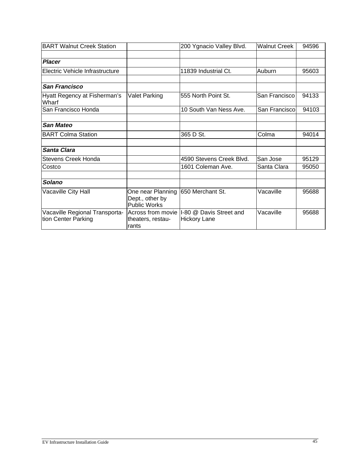| <b>BART Walnut Creek Station</b>                      |                                                             | 200 Ygnacio Valley Blvd.                                          | <b>Walnut Creek</b> | 94596 |
|-------------------------------------------------------|-------------------------------------------------------------|-------------------------------------------------------------------|---------------------|-------|
|                                                       |                                                             |                                                                   |                     |       |
| <b>Placer</b>                                         |                                                             |                                                                   |                     |       |
| Electric Vehicle Infrastructure                       |                                                             | 11839 Industrial Ct.                                              | Auburn              | 95603 |
|                                                       |                                                             |                                                                   |                     |       |
| <b>San Francisco</b>                                  |                                                             |                                                                   |                     |       |
| Hyatt Regency at Fisherman's<br>Wharf                 | <b>Valet Parking</b>                                        | 555 North Point St.                                               | San Francisco       | 94133 |
| San Francisco Honda                                   |                                                             | 10 South Van Ness Ave.                                            | San Franciscol      | 94103 |
|                                                       |                                                             |                                                                   |                     |       |
| <b>San Mateo</b>                                      |                                                             |                                                                   |                     |       |
| <b>BART Colma Station</b>                             |                                                             | 365 D St.                                                         | Colma               | 94014 |
|                                                       |                                                             |                                                                   |                     |       |
| <b>Santa Clara</b>                                    |                                                             |                                                                   |                     |       |
| <b>Stevens Creek Honda</b>                            |                                                             | 4590 Stevens Creek Blvd.                                          | San Jose            | 95129 |
| Costco                                                |                                                             | 1601 Coleman Ave.                                                 | Santa Clara         | 95050 |
|                                                       |                                                             |                                                                   |                     |       |
| Solano                                                |                                                             |                                                                   |                     |       |
| Vacaville City Hall                                   | One near Planning<br>Dept., other by<br><b>Public Works</b> | 1650 Merchant St.                                                 | Vacaville           | 95688 |
| Vacaville Regional Transporta-<br>tion Center Parking | theaters, restau-<br>rants                                  | Across from movie  I-80 @ Davis Street and<br><b>Hickory Lane</b> | Vacaville           | 95688 |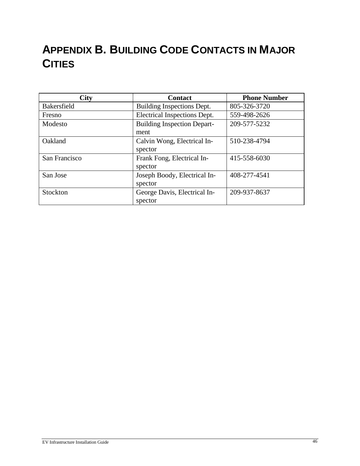# **APPENDIX B. BUILDING CODE CONTACTS IN MAJOR CITIES**

| <b>City</b>        | <b>Contact</b>                                     | <b>Phone Number</b> |
|--------------------|----------------------------------------------------|---------------------|
| <b>Bakersfield</b> | Building Inspections Dept.                         | 805-326-3720        |
| Fresno             | Electrical Inspections Dept.<br>559-498-2626       |                     |
| Modesto            | <b>Building Inspection Depart-</b><br>209-577-5232 |                     |
|                    | ment                                               |                     |
| Oakland            | Calvin Wong, Electrical In-                        | 510-238-4794        |
|                    | spector                                            |                     |
| San Francisco      | Frank Fong, Electrical In-                         | 415-558-6030        |
|                    | spector                                            |                     |
| San Jose           | Joseph Boody, Electrical In-                       | 408-277-4541        |
|                    | spector                                            |                     |
| Stockton           | George Davis, Electrical In-                       | 209-937-8637        |
|                    | spector                                            |                     |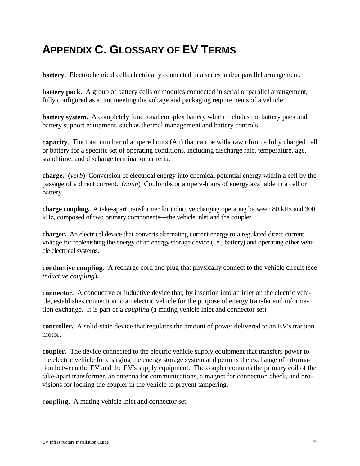# **APPENDIX C. GLOSSARY OF EV TERMS**

**battery.** Electrochemical cells electrically connected in a series and/or parallel arrangement.

**battery pack.** A group of battery cells or modules connected in serial or parallel arrangement, fully configured as a unit meeting the voltage and packaging requirements of a vehicle.

**battery system.** A completely functional complex battery which includes the battery pack and battery support equipment, such as thermal management and battery controls.

**capacity.** The total number of ampere hours (Ah) that can be withdrawn from a fully charged cell or battery for a specific set of operating conditions, including discharge rate, temperature, age, stand time, and discharge termination criteria.

**charge.** (*verb*) Conversion of electrical energy into chemical potential energy within a cell by the passage of a direct current. (*noun*) Coulombs or ampere-hours of energy available in a cell or battery.

**charge coupling.** A take-apart transformer for inductive charging operating between 80 kHz and 300 kHz, composed of two primary components—the vehicle inlet and the coupler.

**charger.** An electrical device that converts alternating current energy to a regulated direct current voltage for replenishing the energy of an energy storage device (i.e., battery) and operating other vehicle electrical systems.

**conductive coupling.** A recharge cord and plug that physically connect to the vehicle circuit (see *inductive coupling*).

**connector.** A conductive or inductive device that, by insertion into an inlet on the electric vehicle, establishes connection to an electric vehicle for the purpose of energy transfer and information exchange. It is part of a *coupling* (a mating vehicle inlet and connector set)

**controller.** A solid-state device that regulates the amount of power delivered to an EV's traction motor.

**coupler.** The device connected to the electric vehicle supply equipment that transfers power to the electric vehicle for charging the energy storage system and permits the exchange of information between the EV and the EV's supply equipment. The coupler contains the primary coil of the take-apart transformer, an antenna for communications, a magnet for connection check, and provisions for locking the coupler in the vehicle to prevent tampering.

**coupling.** A mating vehicle inlet and connector set.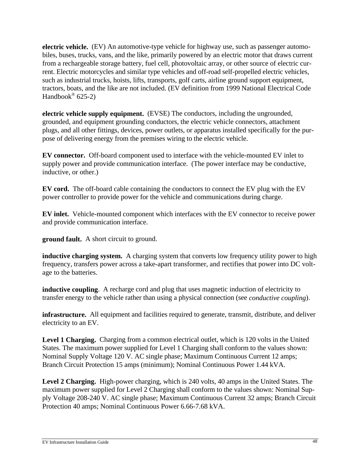**electric vehicle.** (EV) An automotive-type vehicle for highway use, such as passenger automobiles, buses, trucks, vans, and the like, primarily powered by an electric motor that draws current from a rechargeable storage battery, fuel cell, photovoltaic array, or other source of electric current. Electric motorcycles and similar type vehicles and off-road self-propelled electric vehicles, such as industrial trucks, hoists, lifts, transports, golf carts, airline ground support equipment, tractors, boats, and the like are not included. (EV definition from 1999 National Electrical Code Handbook®  $625-2$ )

**electric vehicle supply equipment.** (EVSE) The conductors, including the ungrounded, grounded, and equipment grounding conductors, the electric vehicle connectors, attachment plugs, and all other fittings, devices, power outlets, or apparatus installed specifically for the purpose of delivering energy from the premises wiring to the electric vehicle.

**EV connector.** Off-board component used to interface with the vehicle-mounted EV inlet to supply power and provide communication interface. (The power interface may be conductive, inductive, or other.)

**EV cord.** The off-board cable containing the conductors to connect the EV plug with the EV power controller to provide power for the vehicle and communications during charge.

**EV inlet.** Vehicle-mounted component which interfaces with the EV connector to receive power and provide communication interface.

**ground fault.** A short circuit to ground.

**inductive charging system.** A charging system that converts low frequency utility power to high frequency, transfers power across a take-apart transformer, and rectifies that power into DC voltage to the batteries.

**inductive coupling**. A recharge cord and plug that uses magnetic induction of electricity to transfer energy to the vehicle rather than using a physical connection (see *conductive coupling*).

**infrastructure.** All equipment and facilities required to generate, transmit, distribute, and deliver electricity to an EV.

Level 1 Charging. Charging from a common electrical outlet, which is 120 volts in the United States. The maximum power supplied for Level 1 Charging shall conform to the values shown: Nominal Supply Voltage 120 V. AC single phase; Maximum Continuous Current 12 amps; Branch Circuit Protection 15 amps (minimum); Nominal Continuous Power 1.44 kVA.

**Level 2 Charging.** High-power charging, which is 240 volts, 40 amps in the United States. The maximum power supplied for Level 2 Charging shall conform to the values shown: Nominal Supply Voltage 208-240 V. AC single phase; Maximum Continuous Current 32 amps; Branch Circuit Protection 40 amps; Nominal Continuous Power 6.66-7.68 kVA.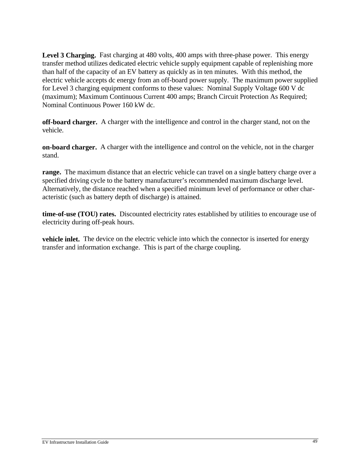Level 3 Charging. Fast charging at 480 volts, 400 amps with three-phase power. This energy transfer method utilizes dedicated electric vehicle supply equipment capable of replenishing more than half of the capacity of an EV battery as quickly as in ten minutes. With this method, the electric vehicle accepts dc energy from an off-board power supply. The maximum power supplied for Level 3 charging equipment conforms to these values: Nominal Supply Voltage 600 V dc (maximum); Maximum Continuous Current 400 amps; Branch Circuit Protection As Required; Nominal Continuous Power 160 kW dc.

**off-board charger.** A charger with the intelligence and control in the charger stand, not on the vehicle.

**on-board charger.** A charger with the intelligence and control on the vehicle, not in the charger stand.

**range.** The maximum distance that an electric vehicle can travel on a single battery charge over a specified driving cycle to the battery manufacturer's recommended maximum discharge level. Alternatively, the distance reached when a specified minimum level of performance or other characteristic (such as battery depth of discharge) is attained.

**time-of-use (TOU) rates.** Discounted electricity rates established by utilities to encourage use of electricity during off-peak hours.

**vehicle inlet.** The device on the electric vehicle into which the connector is inserted for energy transfer and information exchange. This is part of the charge coupling.